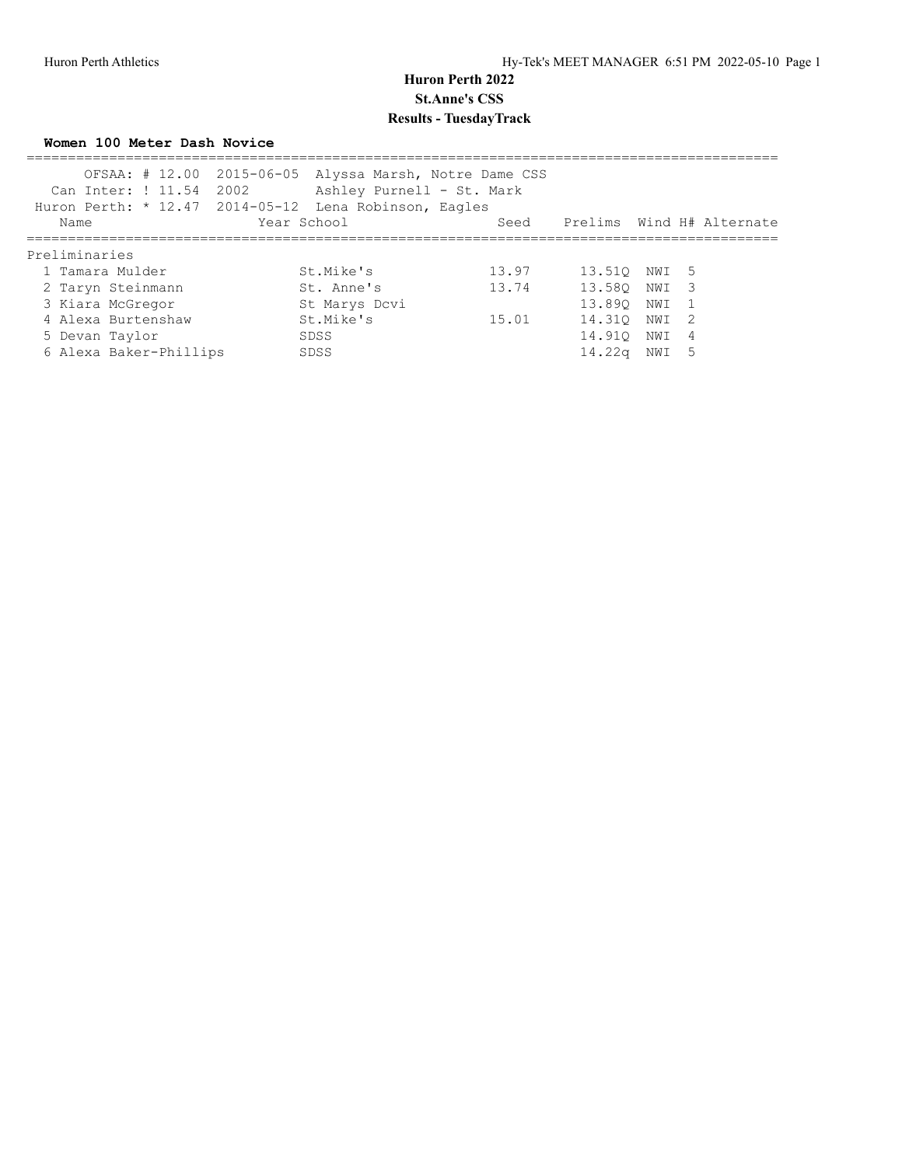**Women 100 Meter Dash Novice**

|                        | OFSAA: # 12.00 2015-06-05 Alyssa Marsh, Notre Dame CSS<br>Can Inter: ! 11.54 2002 Ashley Purnell - St. Mark<br>Huron Perth: * 12.47 2014-05-12 Lena Robinson, Eagles |       |                                |       |    |  |
|------------------------|----------------------------------------------------------------------------------------------------------------------------------------------------------------------|-------|--------------------------------|-------|----|--|
| Name                   | Year School                                                                                                                                                          |       | Seed Prelims Wind H# Alternate |       |    |  |
| Preliminaries          |                                                                                                                                                                      |       |                                |       |    |  |
| 1 Tamara Mulder        | St.Mike's                                                                                                                                                            | 13.97 | 13.510 NWI 5                   |       |    |  |
| 2 Taryn Steinmann      | St. Anne's                                                                                                                                                           | 13.74 | 13.580 NWI 3                   |       |    |  |
| 3 Kiara McGregor       | St Marys Dcvi                                                                                                                                                        |       | 13.890                         | NWI 1 |    |  |
| 4 Alexa Burtenshaw     | St.Mike's                                                                                                                                                            | 15.01 | 14.310                         | NWI 2 |    |  |
| 5 Devan Taylor         | SDSS                                                                                                                                                                 |       | 14.910                         | NWI 4 |    |  |
| 6 Alexa Baker-Phillips | SDSS                                                                                                                                                                 |       | 14.22a                         | NWI   | .5 |  |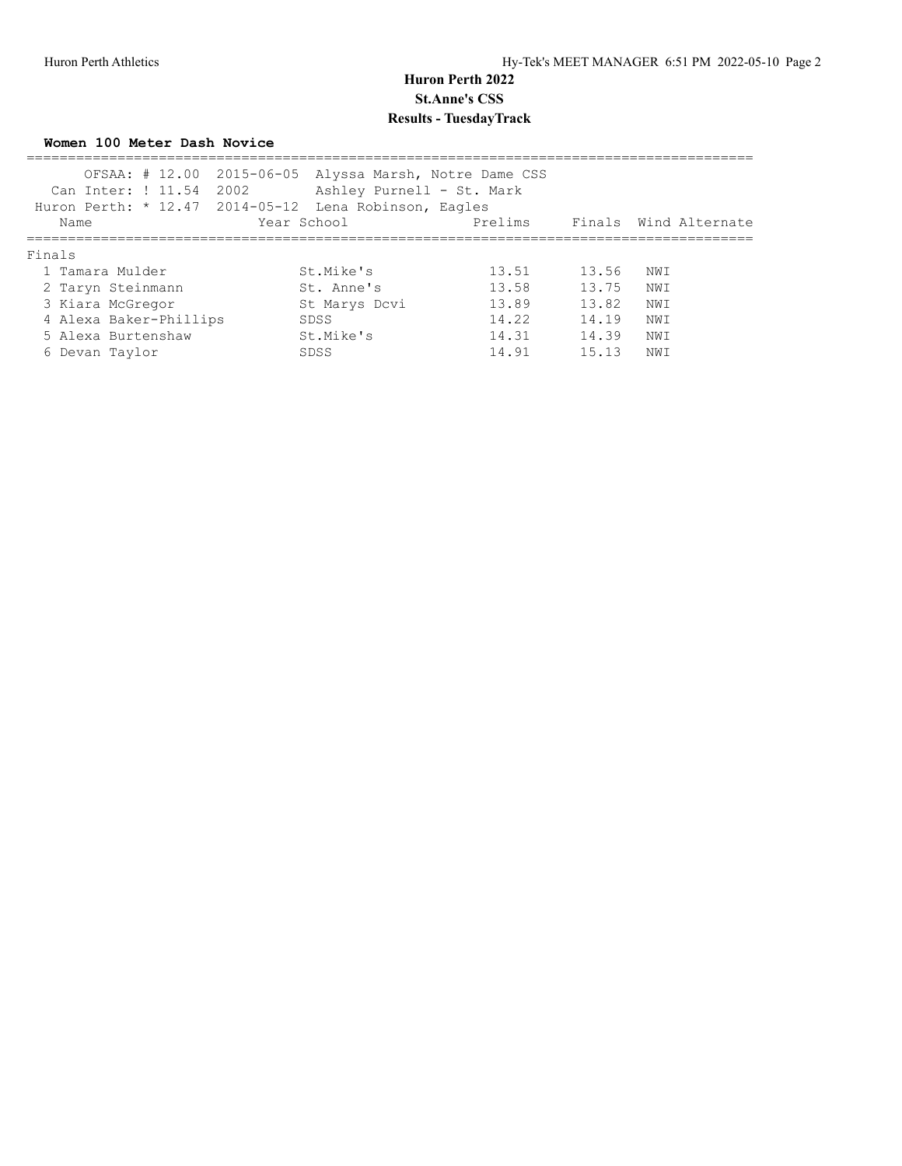**Women 100 Meter Dash Novice**

| Name   |                                                                                                  |                                                   | Prelims                                                                              |                                                                                                                                              |      |                       |
|--------|--------------------------------------------------------------------------------------------------|---------------------------------------------------|--------------------------------------------------------------------------------------|----------------------------------------------------------------------------------------------------------------------------------------------|------|-----------------------|
| Finals |                                                                                                  |                                                   |                                                                                      |                                                                                                                                              |      |                       |
|        |                                                                                                  |                                                   | 13.51                                                                                | 13.56                                                                                                                                        | NWI  |                       |
|        |                                                                                                  |                                                   | 13.58                                                                                | 13.75                                                                                                                                        | NWI  |                       |
|        |                                                                                                  |                                                   | 13.89                                                                                | 13.82                                                                                                                                        | NWI  |                       |
|        |                                                                                                  |                                                   | 14.22                                                                                | 14.19                                                                                                                                        | NWI  |                       |
|        |                                                                                                  |                                                   | 14.31                                                                                | 14.39                                                                                                                                        | NWI  |                       |
|        |                                                                                                  |                                                   | 14.91                                                                                | 15.13                                                                                                                                        | NW I |                       |
|        | 1 Tamara Mulder<br>2 Taryn Steinmann<br>3 Kiara McGregor<br>5 Alexa Burtenshaw<br>6 Devan Taylor | Can Inter: ! 11.54 2002<br>4 Alexa Baker-Phillips | Year School<br>St.Mike's<br>St. Anne's<br>St Marys Dcvi<br>SDSS<br>St.Mike's<br>SDSS | OFSAA: # 12.00 2015-06-05 Alyssa Marsh, Notre Dame CSS<br>Ashley Purnell - St. Mark<br>Huron Perth: * 12.47 2014-05-12 Lena Robinson, Eagles |      | Finals Wind Alternate |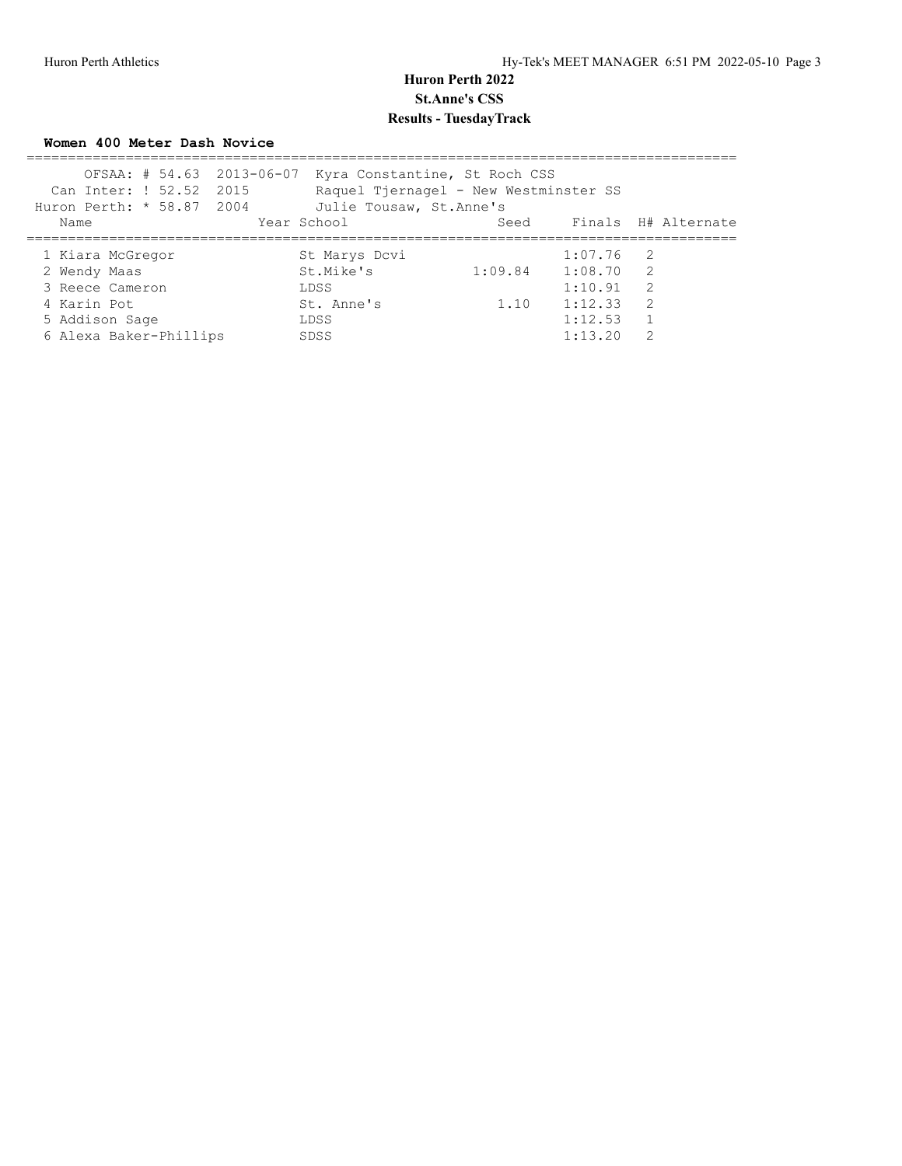**Women 400 Meter Dash Novice**

| OFSAA: # 54.63 2013-06-07 | Kyra Constantine, St Roch CSS         |                     |                          |                |  |
|---------------------------|---------------------------------------|---------------------|--------------------------|----------------|--|
| Can Inter: ! 52.52 2015   | Raquel Tjernagel - New Westminster SS |                     |                          |                |  |
| Huron Perth: * 58.87 2004 | Julie Tousaw, St. Anne's              |                     |                          |                |  |
| Name                      | Year School                           |                     | Seed Finals H# Alternate |                |  |
| 1 Kiara McGregor          | St Marys Dcvi                         |                     | $1:07.76$ 2              |                |  |
| 2 Wendy Maas              | St.Mike's                             | $1:09.84$ $1:08.70$ |                          | $\overline{2}$ |  |
| 3 Reece Cameron           | LDSS                                  |                     | 1:10.91                  | -2             |  |
| 4 Karin Pot               | St. Anne's                            | 1.10                | 1:12.33                  | $\overline{2}$ |  |
| 5 Addison Sage            | LDSS                                  |                     | 1:12.53                  |                |  |
| 6 Alexa Baker-Phillips    | SDSS                                  |                     | 1:13.20                  | 2              |  |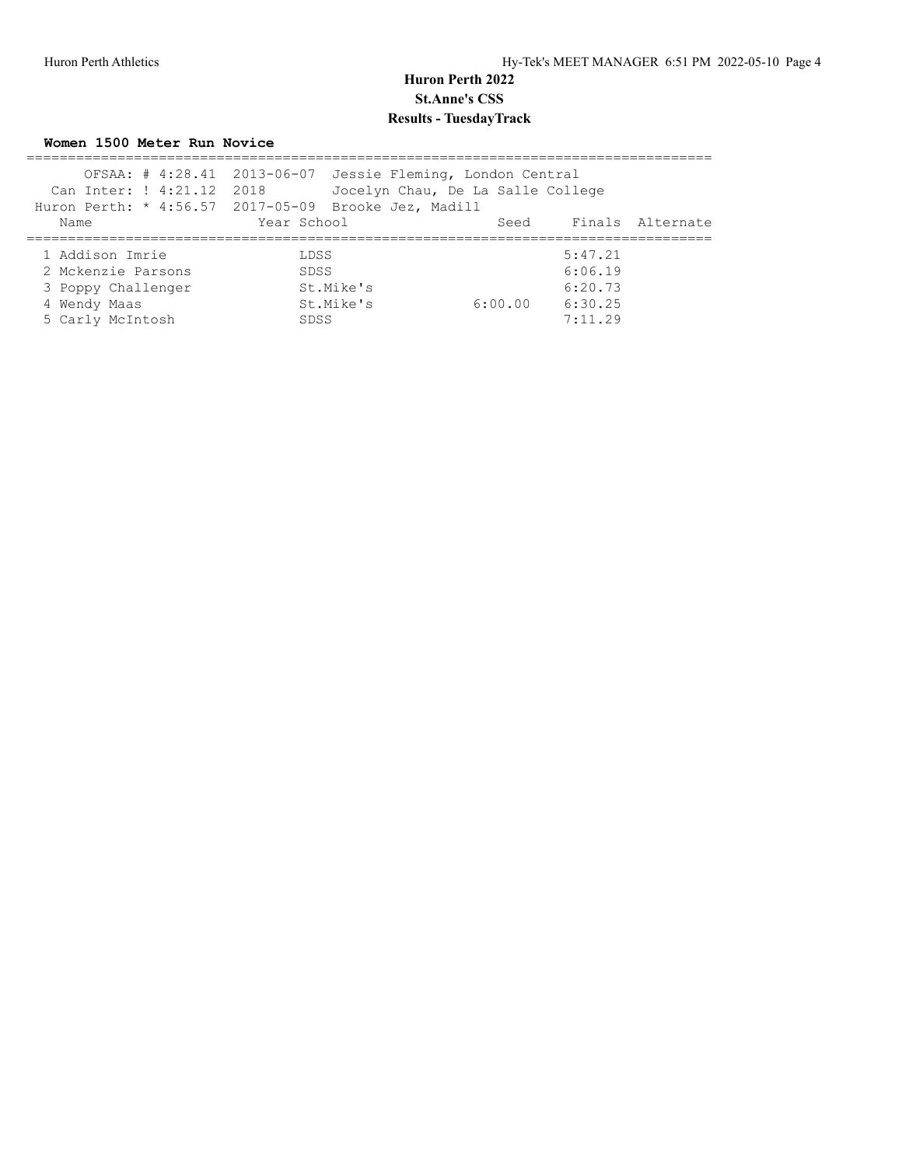**Women 1500 Meter Run Novice**

| Can Inter: ! 4:21.12 2018<br>Huron Perth: * 4:56.57 2017-05-09 Brooke Jez, Madill |              | OFSAA: # 4:28.41 2013-06-07 Jessie Fleming, London Central<br>Jocelyn Chau, De La Salle College |                               |                  |
|-----------------------------------------------------------------------------------|--------------|-------------------------------------------------------------------------------------------------|-------------------------------|------------------|
| Name                                                                              | Year School  |                                                                                                 | Seed                          | Finals Alternate |
| 1 Addison Imrie<br>2 Mckenzie Parsons<br>3 Poppy Challenger                       | LDSS<br>SDSS | St.Mike's                                                                                       | 5:47.21<br>6:06.19<br>6:20.73 |                  |
| 4 Wendy Maas<br>5 Carly McIntosh                                                  | SDSS         | St.Mike's<br>6:00.00                                                                            | 6:30.25<br>7:11.29            |                  |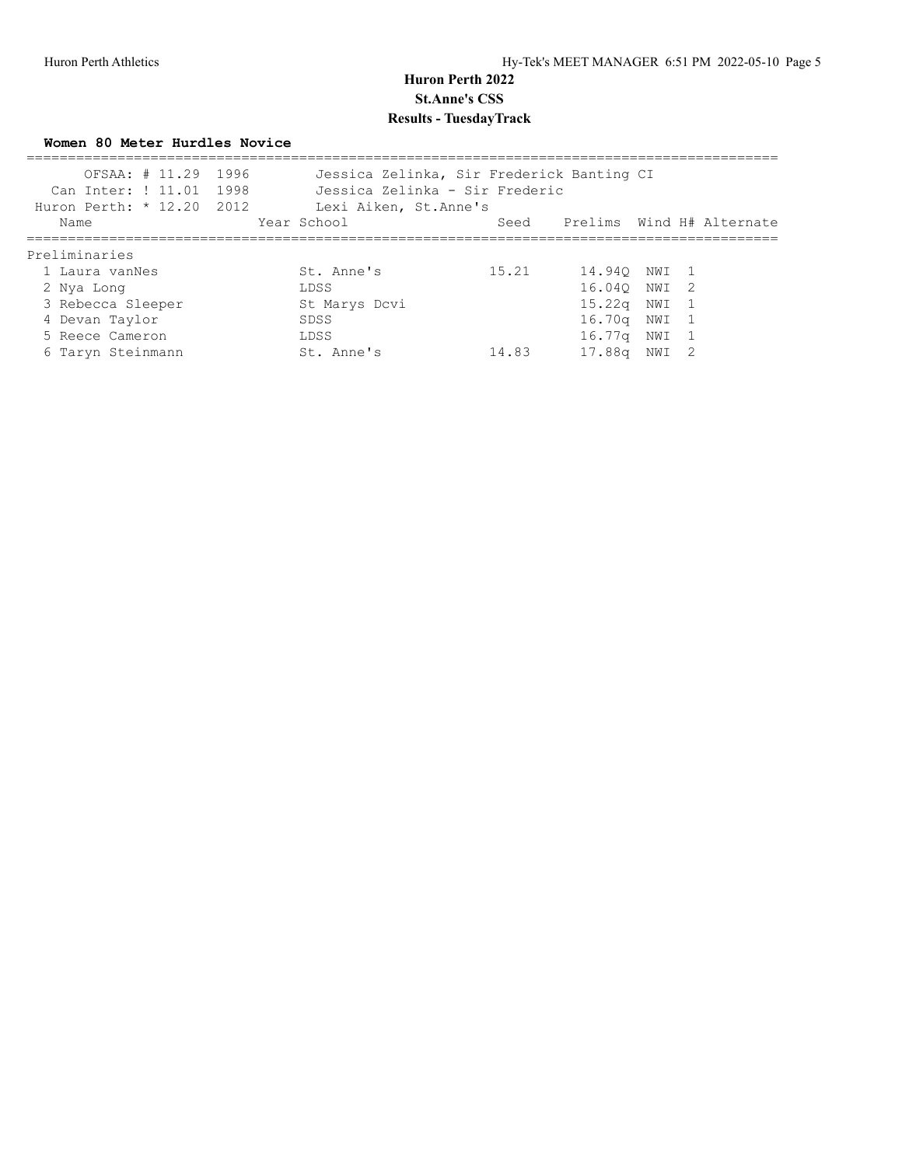**Women 80 Meter Hurdles Novice**

| OFSAA: # 11.29 1996<br>Can Inter: ! 11.01 1998<br>Huron Perth: $* 12.20 2012$ | Jessica Zelinka, Sir Frederick Banting CI<br>Jessica Zelinka - Sir Frederic<br>Lexi Aiken, St. Anne's |       |                                |       |  |
|-------------------------------------------------------------------------------|-------------------------------------------------------------------------------------------------------|-------|--------------------------------|-------|--|
| Name                                                                          | Year School                                                                                           |       | Seed Prelims Wind H# Alternate |       |  |
| Preliminaries                                                                 |                                                                                                       |       |                                |       |  |
| 1 Laura vanNes                                                                | St. Anne's                                                                                            | 15.21 | 14.940 NWI 1                   |       |  |
| 2 Nya Long                                                                    | LDSS                                                                                                  |       | 16.040 NWI 2                   |       |  |
| 3 Rebecca Sleeper                                                             | St Marys Dcvi                                                                                         |       | 15.22 <sub>q</sub>             | NWI 1 |  |
| 4 Devan Taylor                                                                | SDSS                                                                                                  |       | 16.70a                         | NWI 1 |  |
| 5 Reece Cameron                                                               | LDSS                                                                                                  |       | 16.77q NWI 1                   |       |  |
| 6 Taryn Steinmann                                                             | St. Anne's                                                                                            | 14.83 | 17.88a                         | NWI 2 |  |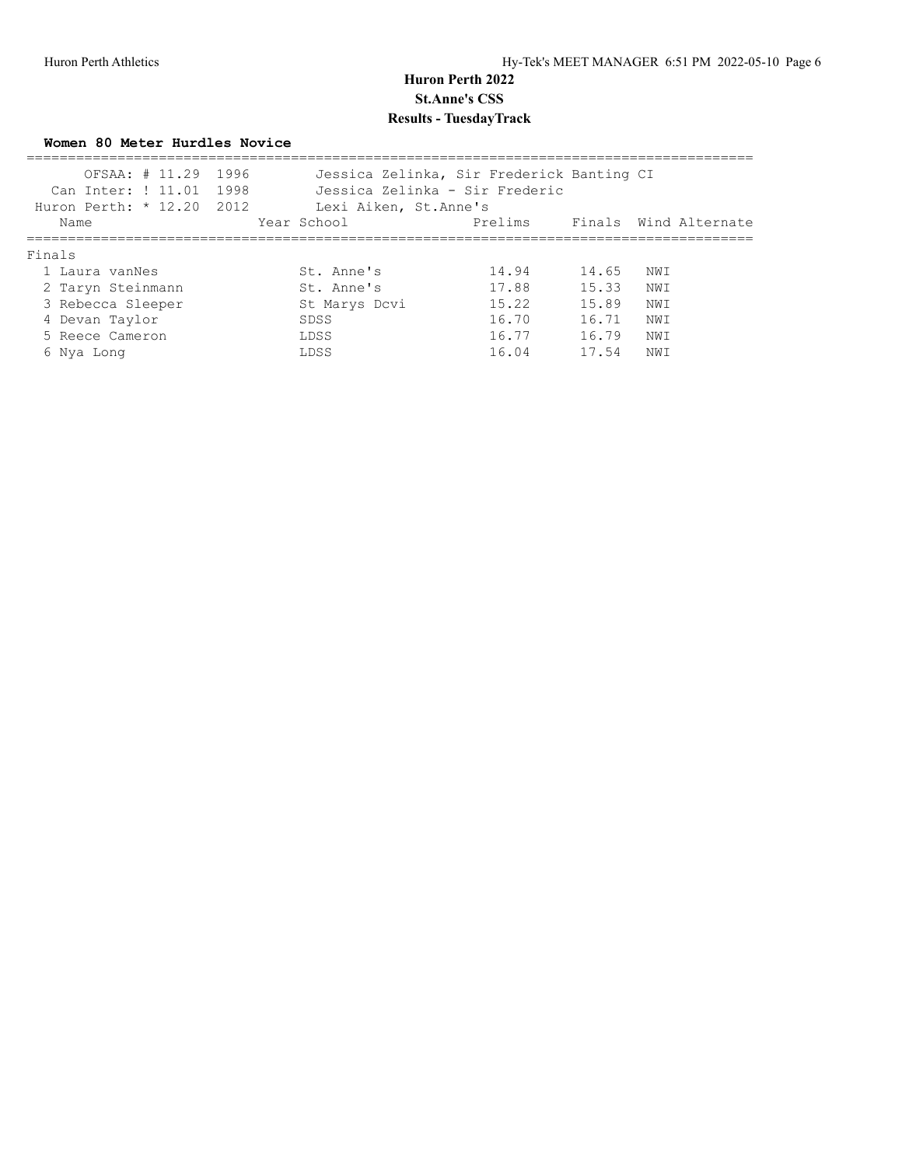**Women 80 Meter Hurdles Novice**

| OFSAA: # 11.29 1996<br>Can Inter: ! 11.01 1998 |                        | Jessica Zelinka, Sir Frederick Banting CI<br>Jessica Zelinka - Sir Frederic |       |                       |
|------------------------------------------------|------------------------|-----------------------------------------------------------------------------|-------|-----------------------|
| Huron Perth: $* 12.20 2012$                    | Lexi Aiken, St. Anne's |                                                                             |       |                       |
| Name                                           | Year School            | Prelims                                                                     |       | Finals Wind Alternate |
| Finals                                         |                        |                                                                             |       |                       |
| 1 Laura vanNes                                 | St. Anne's             | 14.94                                                                       | 14.65 | NWI                   |
| 2 Taryn Steinmann                              | St. Anne's             | 17.88                                                                       | 15.33 | NW T                  |
| 3 Rebecca Sleeper                              | St Marys Dcvi          | 15.22                                                                       | 15.89 | NWI                   |
| 4 Devan Taylor                                 | SDSS                   | 16.70                                                                       | 16.71 | NWI                   |
| 5 Reece Cameron                                | LDSS                   | 16.77                                                                       | 16.79 | NWI                   |
| 6 Nya Long                                     | LDSS                   | 16.04                                                                       | 17.54 | NWI                   |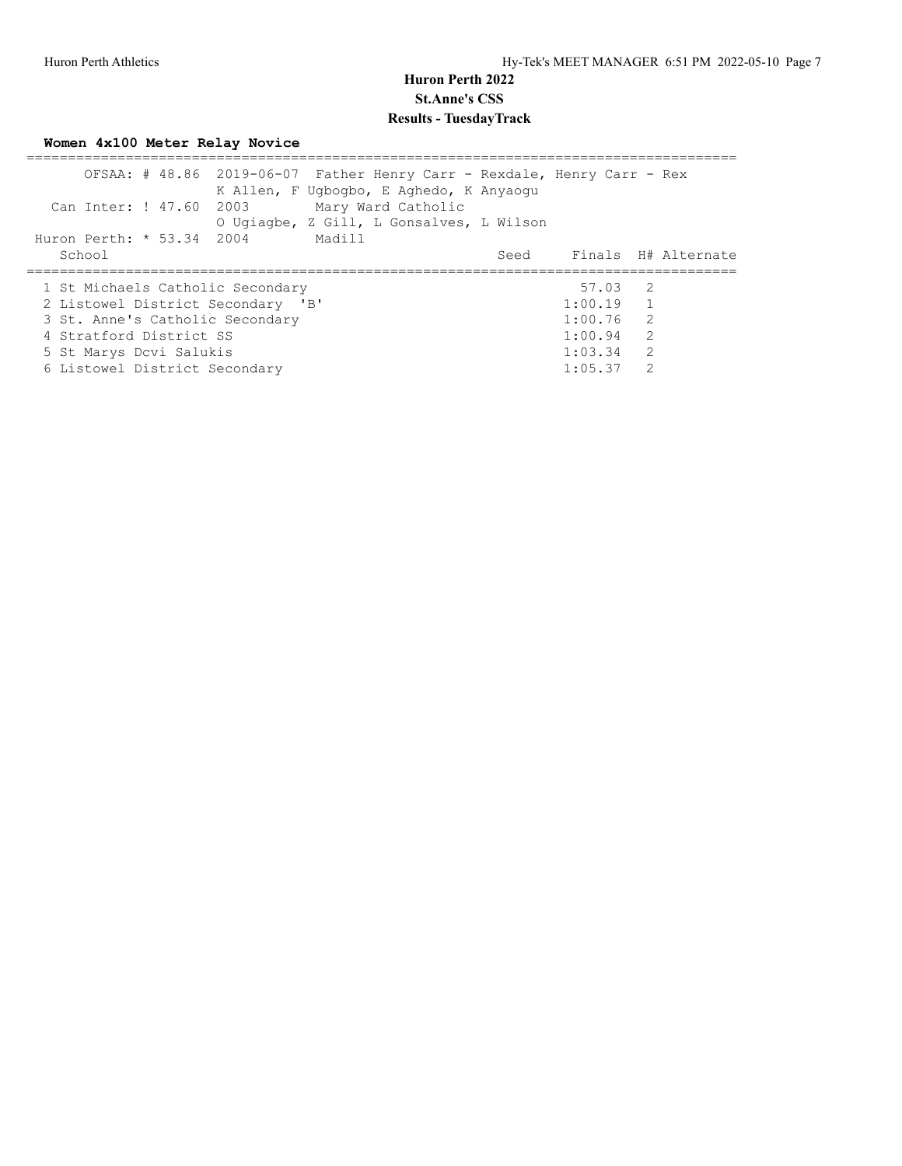**Women 4x100 Meter Relay Novice**

|                                   | OFSAA: # 48.86 2019-06-07 Father Henry Carr - Rexdale, Henry Carr - Rex<br>K Allen, F Ugbogbo, E Aghedo, K Anyaogu |             |                |                          |
|-----------------------------------|--------------------------------------------------------------------------------------------------------------------|-------------|----------------|--------------------------|
| Can Inter: ! 47.60 2003           | Mary Ward Catholic                                                                                                 |             |                |                          |
|                                   | O Ugiagbe, Z Gill, L Gonsalves, L Wilson                                                                           |             |                |                          |
| Huron Perth: * 53.34 2004         | Madill                                                                                                             |             |                |                          |
| School                            |                                                                                                                    |             |                | Seed Finals H# Alternate |
|                                   |                                                                                                                    |             |                |                          |
|                                   |                                                                                                                    |             |                |                          |
| 1 St Michaels Catholic Secondary  |                                                                                                                    | 57.03 2     |                |                          |
| 2 Listowel District Secondary 'B' |                                                                                                                    | $1:00.19$ 1 |                |                          |
| 3 St. Anne's Catholic Secondary   |                                                                                                                    | $1:00.76$ 2 |                |                          |
| 4 Stratford District SS           |                                                                                                                    | $1:00.94$ 2 |                |                          |
| 5 St Marys Dcvi Salukis           |                                                                                                                    | 1:03.34     | $\overline{2}$ |                          |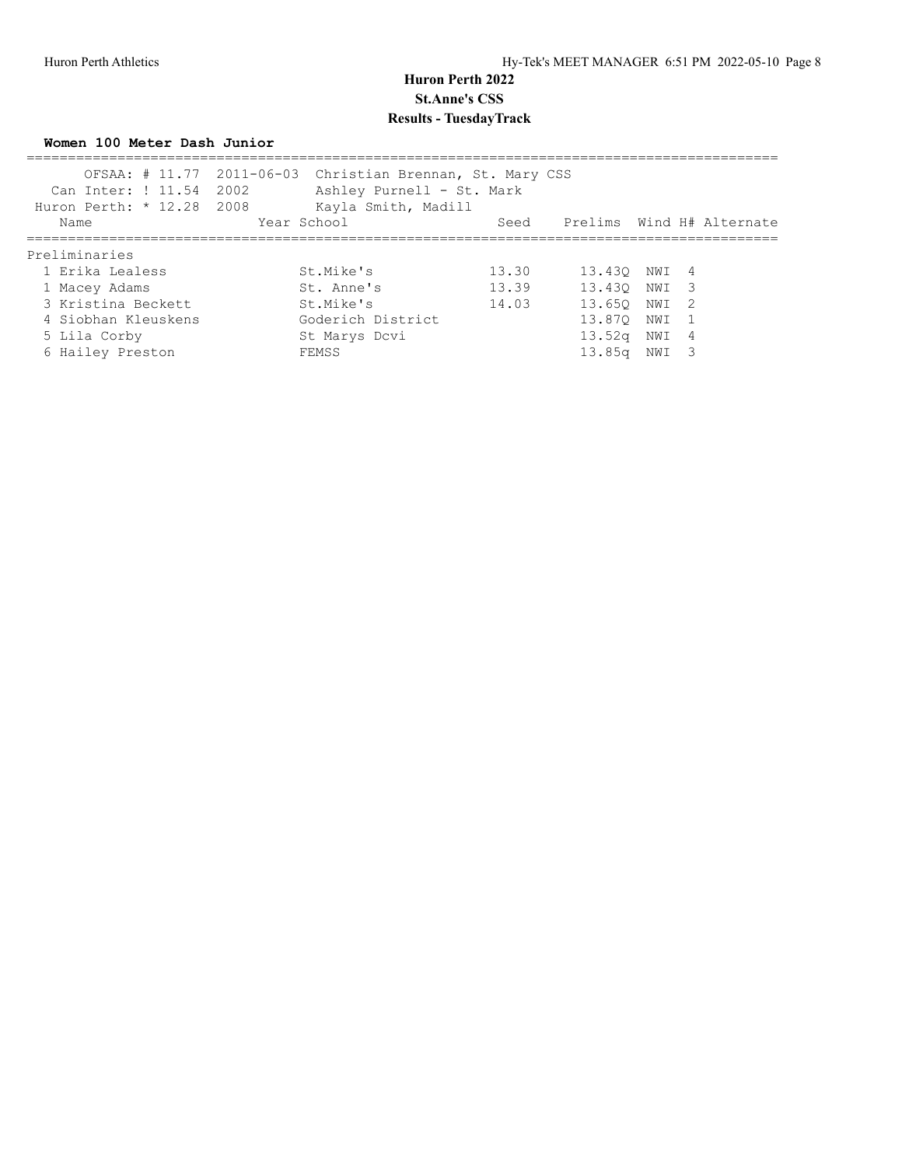#### **Women 100 Meter Dash Junior**

| Can Inter: ! 11.54 2002<br>Huron Perth: $* 12.28 2008$ | OFSAA: # 11.77 2011-06-03 Christian Brennan, St. Mary CSS<br>Ashley Purnell - St. Mark<br>Kayla Smith, Madill |       |                                |       |  |
|--------------------------------------------------------|---------------------------------------------------------------------------------------------------------------|-------|--------------------------------|-------|--|
| Name                                                   | Year School                                                                                                   |       | Seed Prelims Wind H# Alternate |       |  |
| Preliminaries                                          |                                                                                                               |       |                                |       |  |
| 1 Erika Lealess                                        | St.Mike's                                                                                                     | 13.30 | 13.430 NWI 4                   |       |  |
| 1 Macey Adams                                          | St. Anne's                                                                                                    | 13.39 | 13.430 NWI 3                   |       |  |
| 3 Kristina Beckett                                     | St.Mike's                                                                                                     | 14.03 | 13.650                         | NWI 2 |  |
| 4 Siobhan Kleuskens                                    | Goderich District                                                                                             |       | 13.870                         | NWI 1 |  |
| 5 Lila Corby                                           | St Marys Dcvi                                                                                                 |       | 13.52 <sub>q</sub>             | NWI 4 |  |
| 6 Hailey Preston                                       | FEMSS                                                                                                         |       | 13.85 <sub>q</sub>             | NWI 3 |  |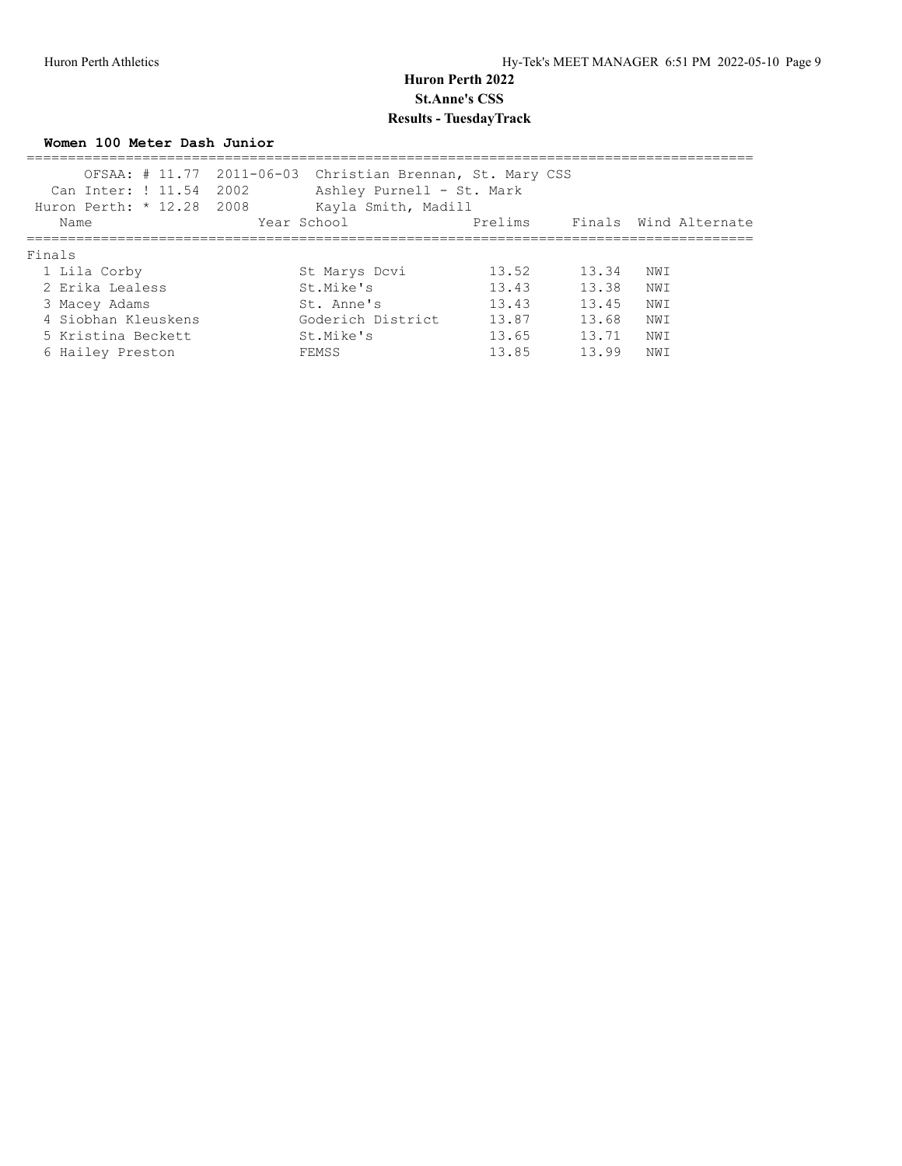#### **Women 100 Meter Dash Junior**

| Can Inter: ! 11.54<br>Huron Perth: * 12.28 2008 | OFSAA: # 11.77 2011-06-03 Christian Brennan, St. Mary CSS<br>2002<br>Ashley Purnell - St. Mark<br>Kayla Smith, Madill |         |       |                       |  |
|-------------------------------------------------|-----------------------------------------------------------------------------------------------------------------------|---------|-------|-----------------------|--|
| Name                                            | Year School                                                                                                           | Prelims |       | Finals Wind Alternate |  |
| Finals                                          |                                                                                                                       |         |       |                       |  |
| 1 Lila Corby                                    | St Marys Dcvi                                                                                                         | 13.52   | 13.34 | NW I                  |  |
| 2 Erika Lealess                                 | St.Mike's                                                                                                             | 13.43   | 13.38 | NW I                  |  |
| 3 Macey Adams                                   | St. Anne's                                                                                                            | 13.43   | 13.45 | NW I                  |  |
| 4 Siobhan Kleuskens                             | Goderich District                                                                                                     | 13.87   | 13.68 | NW I                  |  |
| 5 Kristina Beckett                              | St.Mike's                                                                                                             | 13.65   | 13.71 | NW I                  |  |
| 6 Hailey Preston                                | FEMSS                                                                                                                 | 13.85   | 13.99 | NWI                   |  |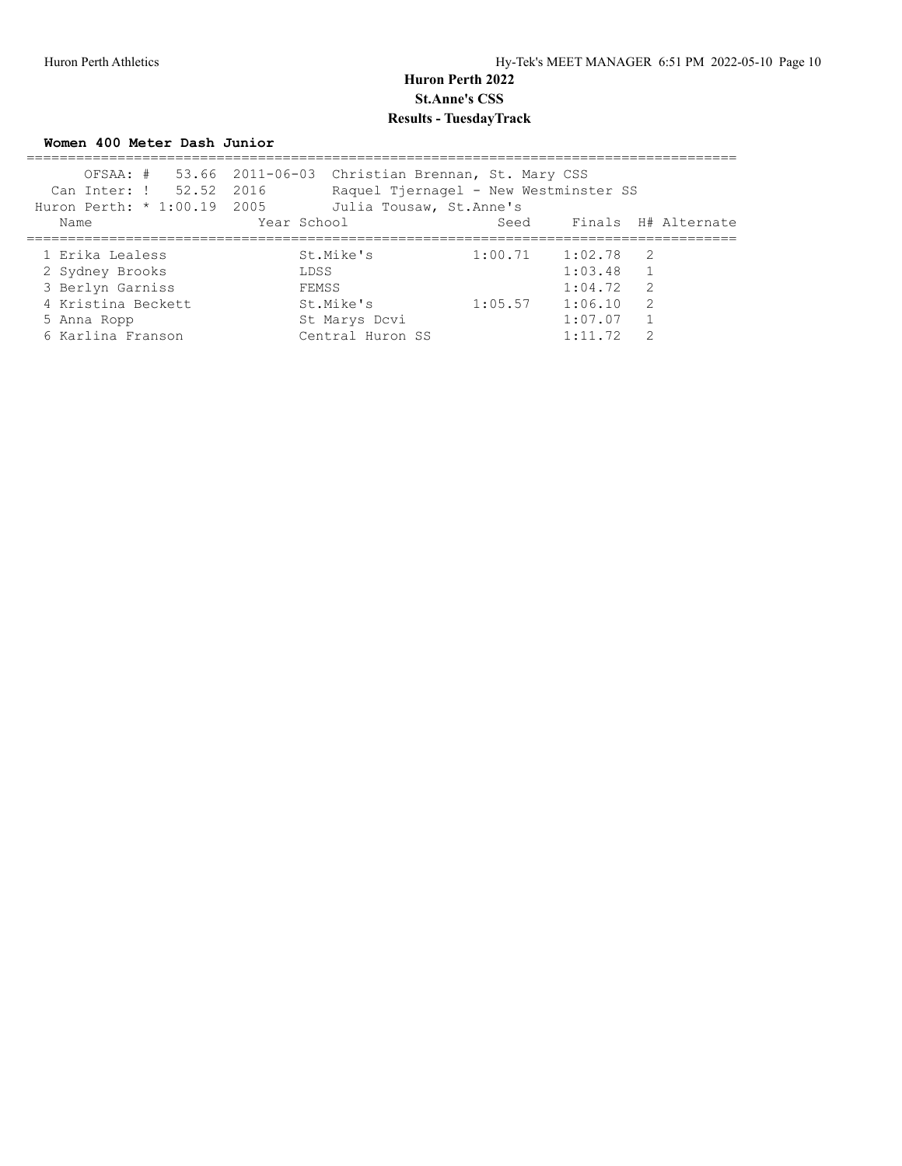**Women 400 Meter Dash Junior**

| Can Inter: ! 52.52 2016     | OFSAA: # 53.66 2011-06-03 Christian Brennan, St. Mary CSS<br>Raquel Tjernagel - New Westminster SS |                     |         |                     |
|-----------------------------|----------------------------------------------------------------------------------------------------|---------------------|---------|---------------------|
| Huron Perth: * 1:00.19 2005 | Julia Tousaw, St. Anne's                                                                           |                     |         |                     |
| Name                        | Year School                                                                                        | Seed                |         | Finals H# Alternate |
|                             |                                                                                                    |                     |         |                     |
| 1 Erika Lealess             | St.Mike's                                                                                          | $1:00.71$ $1:02.78$ |         | $\overline{2}$      |
| 2 Sydney Brooks             | LDSS                                                                                               |                     | 1:03.48 |                     |
| 3 Berlyn Garniss            | FEMSS                                                                                              |                     | 1:04.72 | 2                   |
| 4 Kristina Beckett          | St.Mike's                                                                                          | 1:05.57             | 1:06.10 | 2                   |
| 5 Anna Ropp                 | St Marys Dcvi                                                                                      |                     | 1:07.07 |                     |
| 6 Karlina Franson           | Central Huron SS                                                                                   |                     | 1:11.72 | $\mathcal{P}$       |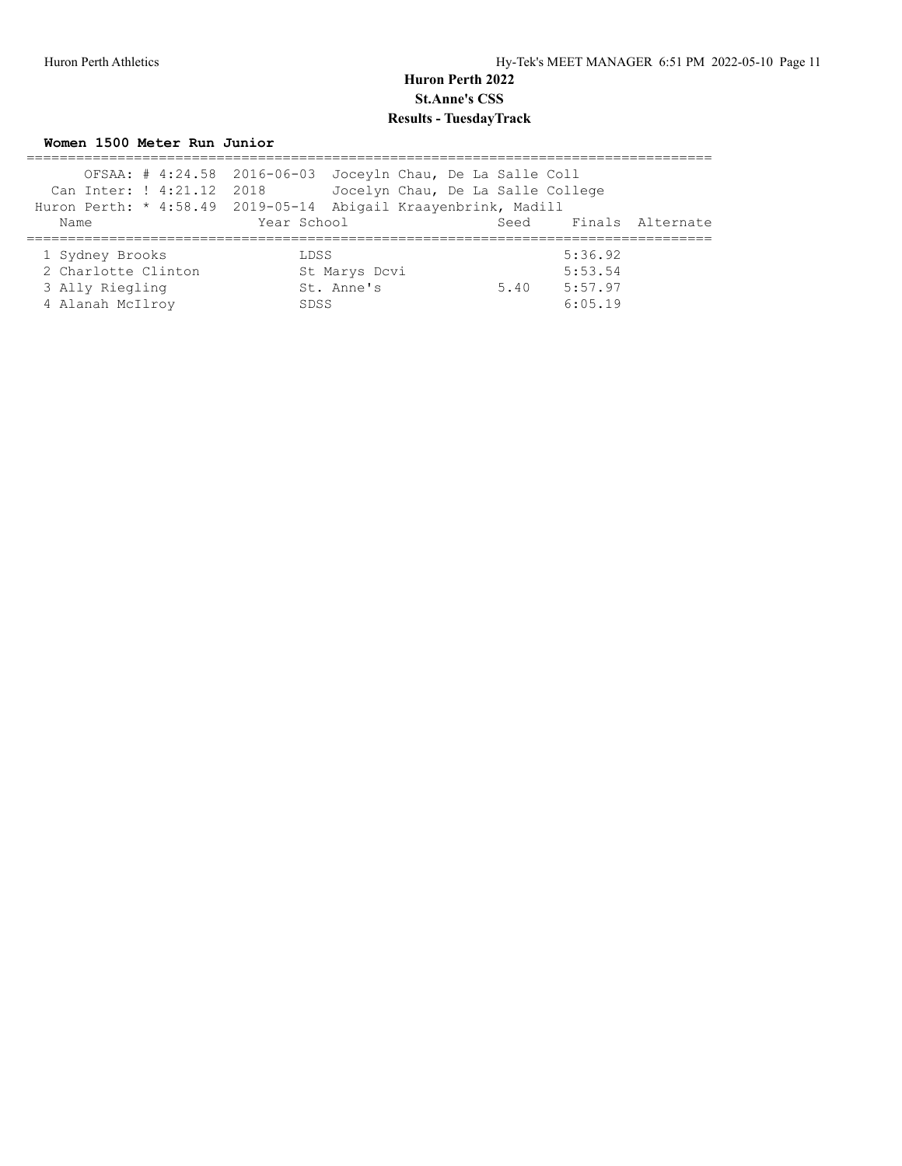**Women 1500 Meter Run Junior**

|                           | OFSAA: # 4:24.58 2016-06-03 Joceyln Chau, De La Salle Coll     |      |         |                  |
|---------------------------|----------------------------------------------------------------|------|---------|------------------|
| Can Inter: ! 4:21.12 2018 | Jocelyn Chau, De La Salle College                              |      |         |                  |
|                           | Huron Perth: * 4:58.49 2019-05-14 Abigail Kraayenbrink, Madill |      |         |                  |
| Name                      | Year School                                                    | Seed |         | Finals Alternate |
|                           |                                                                |      |         |                  |
| 1 Sydney Brooks           | LDSS                                                           |      | 5:36.92 |                  |
| 2 Charlotte Clinton       | St Marys Dcvi                                                  |      | 5:53.54 |                  |
| 3 Ally Riegling           | St. Anne's                                                     | 5.40 | 5:57.97 |                  |
| 4 Alanah McIlroy          | SDSS                                                           |      | 6:05.19 |                  |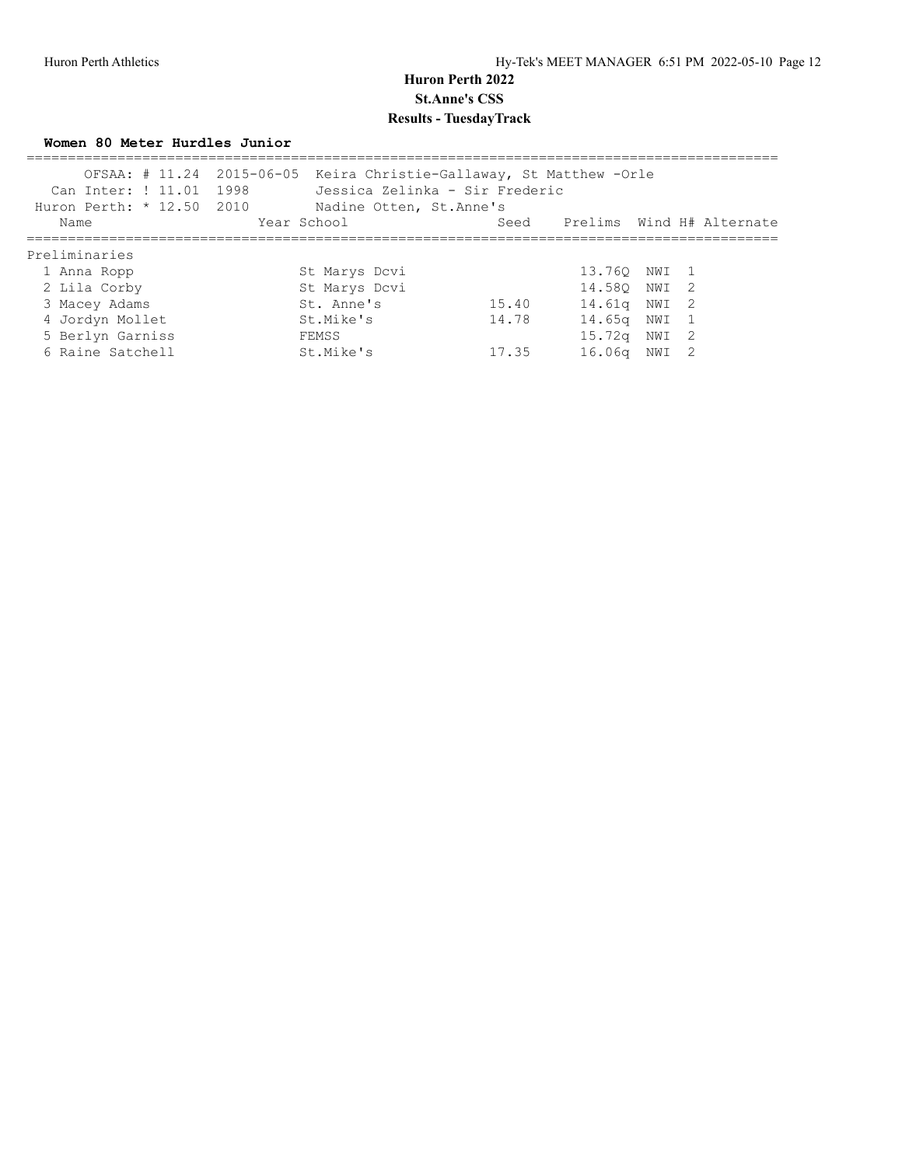**Women 80 Meter Hurdles Junior**

| Can Inter: ! 11.01 1998<br>Huron Perth: $* 12.50 2010$ | OFSAA: # 11.24 2015-06-05 Keira Christie-Gallaway, St Matthew - Orle<br>Jessica Zelinka - Sir Frederic<br>Nadine Otten, St. Anne's |       |                                |       |  |
|--------------------------------------------------------|------------------------------------------------------------------------------------------------------------------------------------|-------|--------------------------------|-------|--|
| Name                                                   | Year School                                                                                                                        |       | Seed Prelims Wind H# Alternate |       |  |
| Preliminaries                                          |                                                                                                                                    |       |                                |       |  |
| 1 Anna Ropp                                            | St Marys Dcvi                                                                                                                      |       | 13.760 NWI 1                   |       |  |
| 2 Lila Corby                                           | St Marys Dcvi                                                                                                                      |       | 14.580 NWI 2                   |       |  |
| 3 Macey Adams                                          | St. Anne's                                                                                                                         | 15.40 | 14.61g NWI 2                   |       |  |
| 4 Jordyn Mollet                                        | St.Mike's                                                                                                                          | 14.78 | 14.65a                         | NWI 1 |  |
| 5 Berlyn Garniss                                       | FEMSS                                                                                                                              |       | 15.72q NWI 2                   |       |  |
| 6 Raine Satchell                                       | St.Mike's                                                                                                                          | 17.35 | 16.06a                         | NWI 2 |  |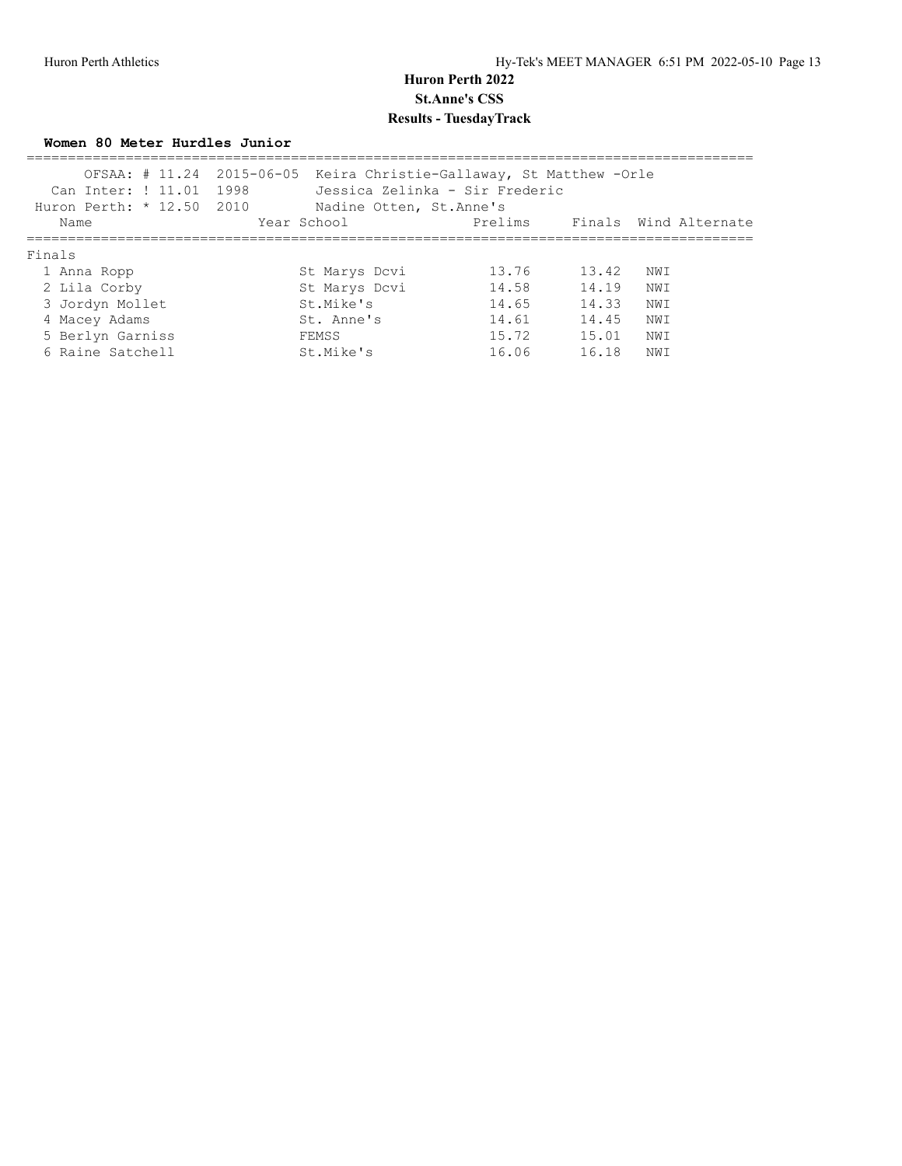**Women 80 Meter Hurdles Junior**

| Can Inter: ! 11.01 1998<br>Huron Perth: $* 12.50 2010$ | OFSAA: # 11.24 2015-06-05 Keira Christie-Gallaway, St Matthew -Orle<br>Jessica Zelinka - Sir Frederic<br>Nadine Otten, St.Anne's |         |       |      |                       |
|--------------------------------------------------------|----------------------------------------------------------------------------------------------------------------------------------|---------|-------|------|-----------------------|
| Name                                                   | Year School                                                                                                                      | Prelims |       |      | Finals Wind Alternate |
| Finals                                                 |                                                                                                                                  |         |       |      |                       |
| 1 Anna Ropp                                            | St Marys Dcvi                                                                                                                    | 13.76   | 13.42 | NWI  |                       |
| 2 Lila Corby                                           | St Marys Dcvi                                                                                                                    | 14.58   | 14.19 | NW T |                       |
| 3 Jordyn Mollet                                        | St.Mike's                                                                                                                        | 14.65   | 14.33 | NWI  |                       |
| 4 Macey Adams                                          | St. Anne's                                                                                                                       | 14.61   | 14.45 | NWI  |                       |
| 5 Berlyn Garniss                                       | FEMSS                                                                                                                            | 15.72   | 15.01 | NWI  |                       |
| 6 Raine Satchell                                       | St.Mike's                                                                                                                        | 16.06   | 16.18 | NW I |                       |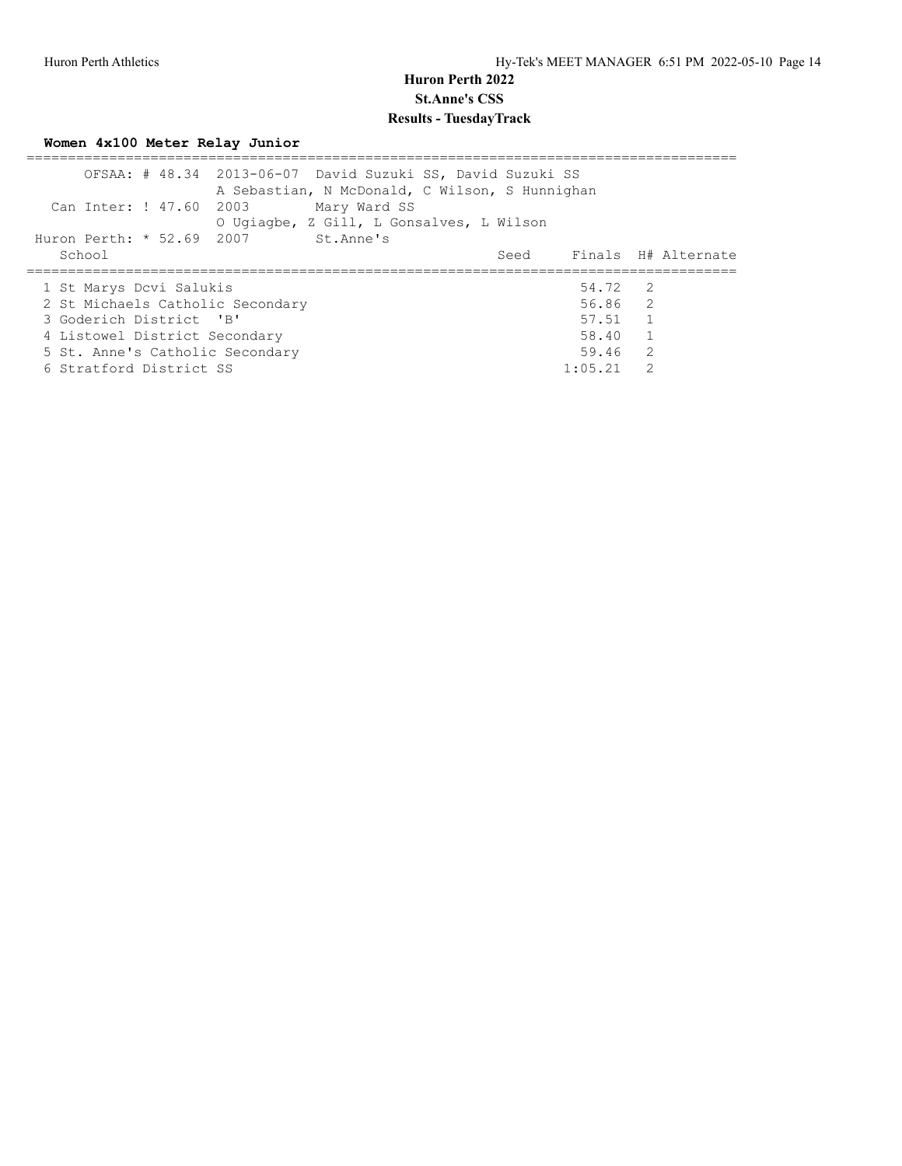**Women 4x100 Meter Relay Junior**

|                                  | OFSAA: # 48.34 2013-06-07 David Suzuki SS, David Suzuki SS<br>A Sebastian, N McDonald, C Wilson, S Hunnighan |         |                          |
|----------------------------------|--------------------------------------------------------------------------------------------------------------|---------|--------------------------|
| Can Inter: ! 47.60 2003          | Mary Ward SS                                                                                                 |         |                          |
|                                  | O Ugiagbe, Z Gill, L Gonsalves, L Wilson                                                                     |         |                          |
| Huron Perth: * 52.69 2007        | St.Anne's                                                                                                    |         |                          |
| School                           |                                                                                                              |         | Seed Finals H# Alternate |
|                                  |                                                                                                              |         |                          |
| 1 St Marys Dcvi Salukis          |                                                                                                              | 54.72 2 |                          |
| 2 St Michaels Catholic Secondary |                                                                                                              | 56.86 2 |                          |
| 3 Goderich District 'B'          |                                                                                                              | 57.51 1 |                          |
| 4 Listowel District Secondary    |                                                                                                              | 58.40   | $\overline{1}$           |
| 5 St. Anne's Catholic Secondary  |                                                                                                              | 59.46   | $\overline{2}$           |
|                                  |                                                                                                              |         |                          |
| 6 Stratford District SS          |                                                                                                              | 1:05.21 | 2                        |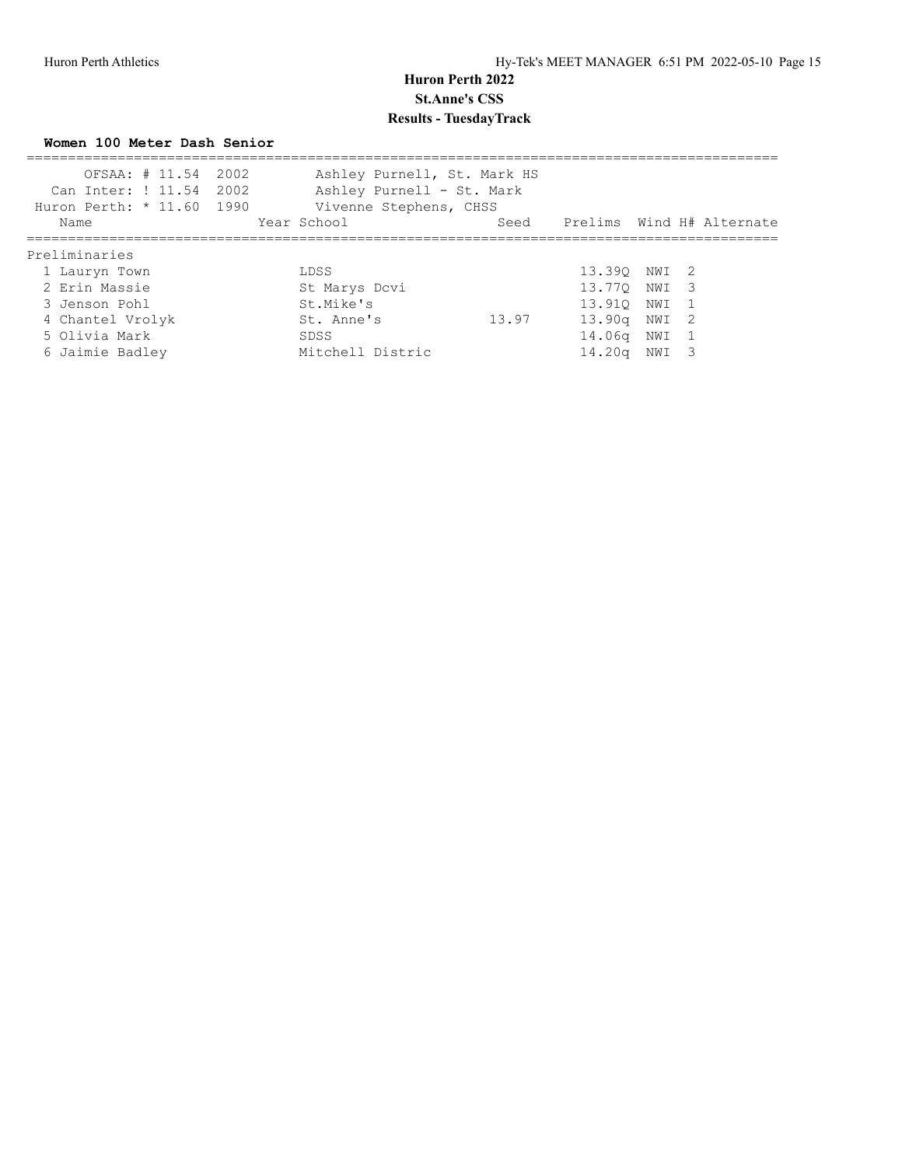**Women 100 Meter Dash Senior**

| OFSAA: # 11.54 2002<br>Can Inter: ! 11.54 2002<br>Huron Perth: * 11.60 1990 | Ashley Purnell, St. Mark HS<br>Ashley Purnell - St. Mark<br>Vivenne Stephens, CHSS |       |                                |  |  |
|-----------------------------------------------------------------------------|------------------------------------------------------------------------------------|-------|--------------------------------|--|--|
| Name                                                                        | Year School                                                                        |       | Seed Prelims Wind H# Alternate |  |  |
| Preliminaries                                                               |                                                                                    |       |                                |  |  |
| 1 Lauryn Town                                                               | LDSS                                                                               |       | 13.390 NWI 2                   |  |  |
| 2 Erin Massie                                                               | St Marys Dcvi                                                                      |       | 13.77Q NWI 3                   |  |  |
| 3 Jenson Pohl                                                               | St.Mike's                                                                          |       | 13.910 NWI 1                   |  |  |
| 4 Chantel Vrolyk                                                            | St. Anne's                                                                         | 13.97 | 13.90g NWI 2                   |  |  |
| 5 Olivia Mark                                                               | SDSS                                                                               |       | 14.06q NWI 1                   |  |  |
| 6 Jaimie Badley                                                             | Mitchell Distric                                                                   |       | 14.20a NWI 3                   |  |  |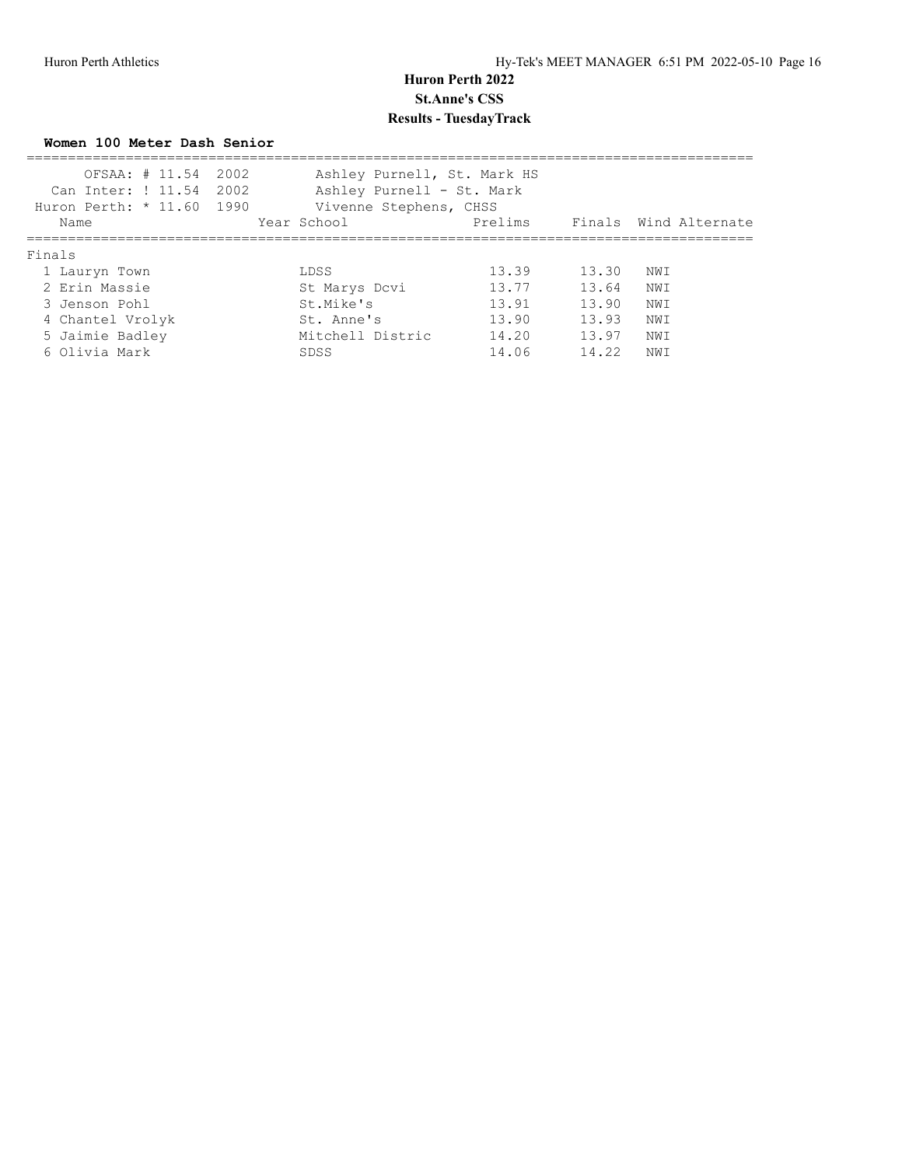**Women 100 Meter Dash Senior**

| OFSAA: # 11.54 2002<br>Can Inter: ! 11.54 2002<br>Huron Perth: * 11.60 1990 | Ashley Purnell, St. Mark HS<br>Ashley Purnell - St. Mark<br>Vivenne Stephens, CHSS |         |       |                       |
|-----------------------------------------------------------------------------|------------------------------------------------------------------------------------|---------|-------|-----------------------|
| Name                                                                        | Year School                                                                        | Prelims |       | Finals Wind Alternate |
| Finals                                                                      |                                                                                    |         |       |                       |
| 1 Lauryn Town                                                               | LDSS                                                                               | 13.39   | 13.30 | NWI                   |
| 2 Erin Massie                                                               | St Marys Dcvi                                                                      | 13.77   | 13.64 | NWI                   |
| 3 Jenson Pohl                                                               | St.Mike's                                                                          | 13.91   | 13.90 | NWI                   |
| 4 Chantel Vrolyk                                                            | St. Anne's                                                                         | 13.90   | 13.93 | NWI                   |
| 5 Jaimie Badley                                                             | Mitchell Distric                                                                   | 14.20   | 13.97 | NWI                   |
| 6 Olivia Mark                                                               | SDSS                                                                               | 14.06   | 14.22 | NWI                   |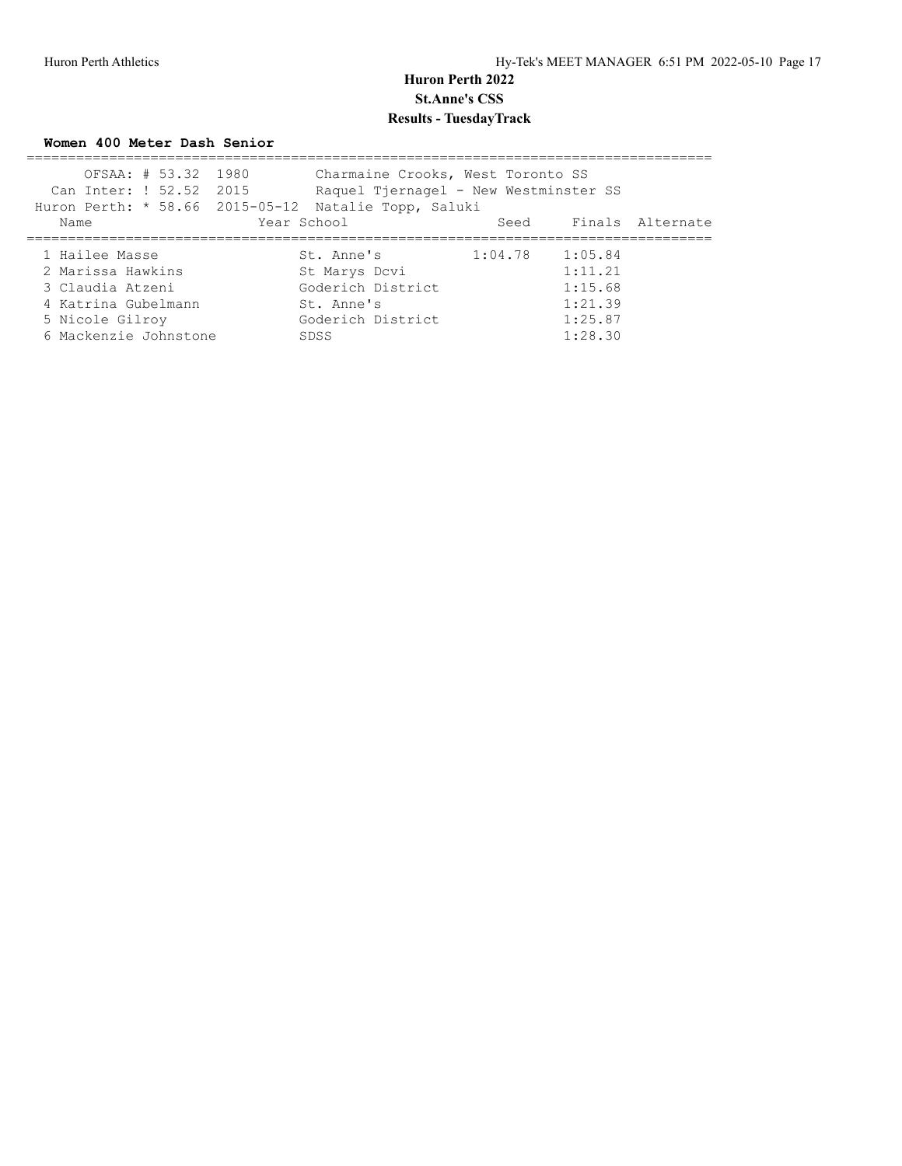**Women 400 Meter Dash Senior**

|                         | OFSAA: # 53.32 1980 |             | Charmaine Crooks, West Toronto SS                    |         |         |                       |
|-------------------------|---------------------|-------------|------------------------------------------------------|---------|---------|-----------------------|
| Can Inter: ! 52.52 2015 |                     |             | Raquel Tjernagel - New Westminster SS                |         |         |                       |
|                         |                     |             | Huron Perth: * 58.66 2015-05-12 Natalie Topp, Saluki |         |         |                       |
| Name                    |                     | Year School |                                                      |         |         | Seed Finals Alternate |
|                         |                     |             |                                                      |         |         |                       |
| 1 Hailee Masse          |                     |             | St. Anne's                                           | 1:04.78 | 1:05.84 |                       |
| 2 Marissa Hawkins       |                     |             | St Marys Dcvi                                        |         | 1:11.21 |                       |
| 3 Claudia Atzeni        |                     |             | Goderich District                                    |         | 1:15.68 |                       |
| 4 Katrina Gubelmann     |                     |             | St. Anne's                                           |         | 1:21.39 |                       |
| 5 Nicole Gilroy         |                     |             | Goderich District                                    |         | 1:25.87 |                       |
| 6 Mackenzie Johnstone   |                     |             | SDSS                                                 |         | 1:28.30 |                       |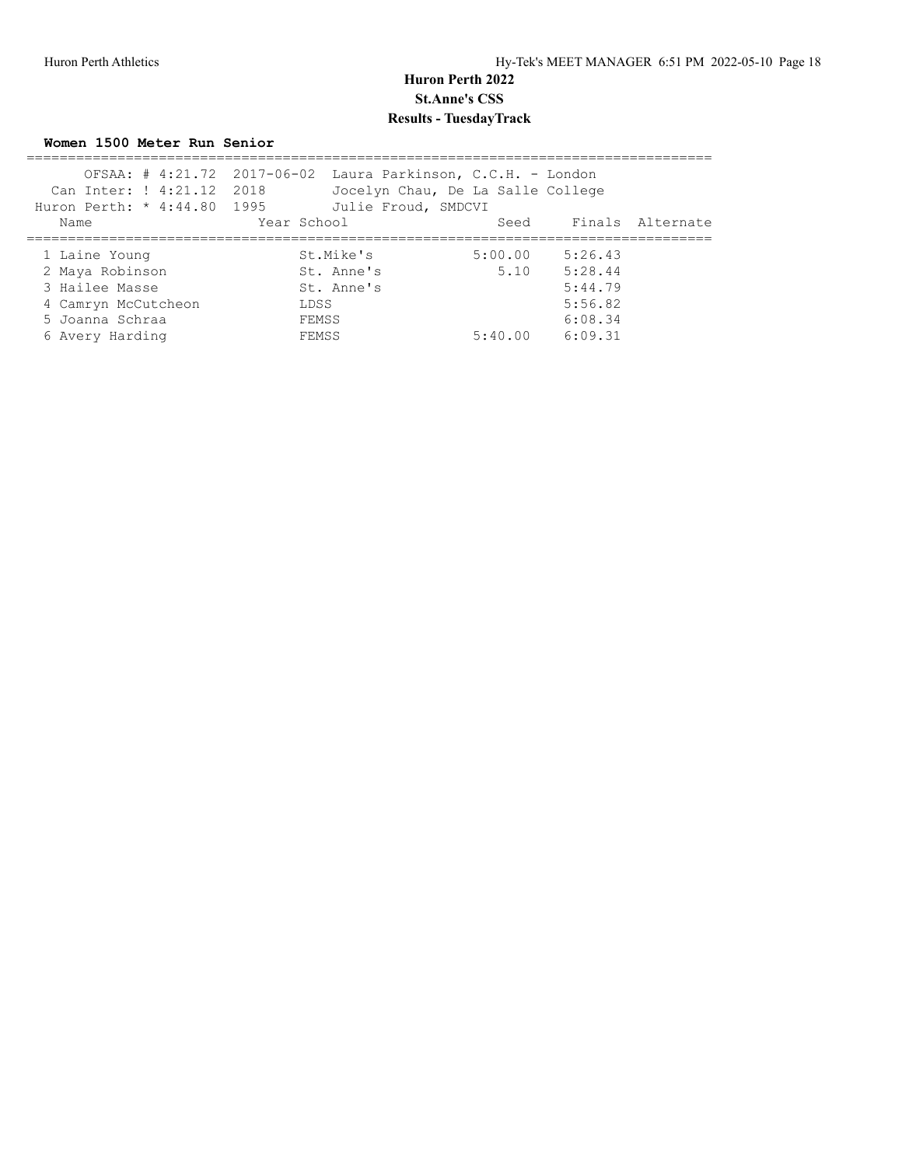**Women 1500 Meter Run Senior**

| Can Inter: ! 4:21.12 2018<br>Huron Perth: * 4:44.80 1995 | OFSAA: $\#$ 4:21.72 2017-06-02 Laura Parkinson, C.C.H. - London<br>Jocelyn Chau, De La Salle College<br>Julie Froud, SMDCVI |         |                       |  |
|----------------------------------------------------------|-----------------------------------------------------------------------------------------------------------------------------|---------|-----------------------|--|
| Name                                                     | Year School                                                                                                                 |         | Seed Finals Alternate |  |
| 1 Laine Young                                            | St.Mike's                                                                                                                   | 5:00.00 | 5:26.43               |  |
| 2 Maya Robinson                                          | St. Anne's                                                                                                                  | 5.10    | 5:28.44               |  |
| 3 Hailee Masse                                           | St. Anne's                                                                                                                  |         | 5:44.79               |  |
| 4 Camryn McCutcheon                                      | LDSS                                                                                                                        |         | 5:56.82               |  |
| 5 Joanna Schraa                                          | FEMSS                                                                                                                       |         | 6:08.34               |  |
| 6 Avery Harding                                          | FEMSS                                                                                                                       | 5:40.00 | 6:09.31               |  |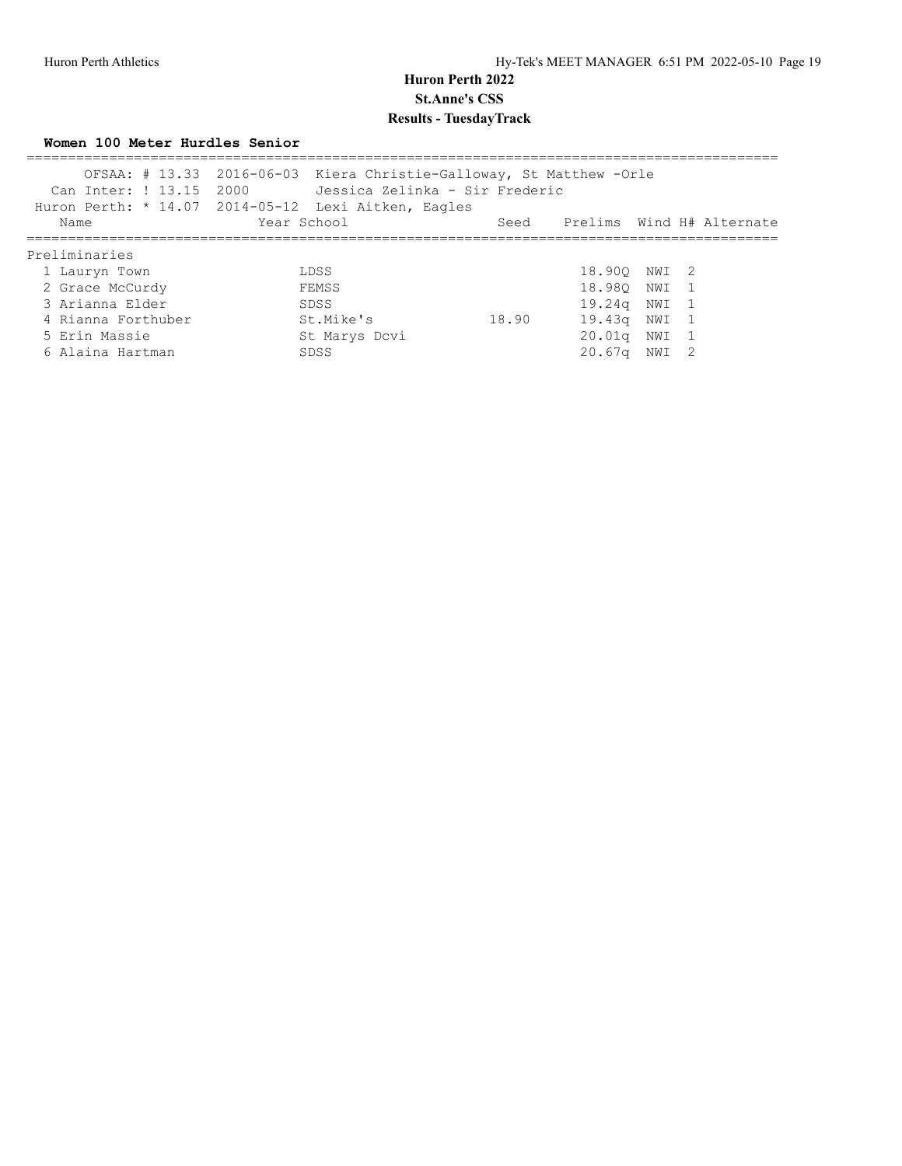**Women 100 Meter Hurdles Senior**

|                    | OFSAA: # 13.33 2016-06-03 Kiera Christie-Galloway, St Matthew - Orle<br>Huron Perth: * 14.07 2014-05-12 Lexi Aitken, Eagles |       |                  |                                |
|--------------------|-----------------------------------------------------------------------------------------------------------------------------|-------|------------------|--------------------------------|
| Name               | Year School                                                                                                                 |       |                  | Seed Prelims Wind H# Alternate |
| Preliminaries      |                                                                                                                             |       |                  |                                |
| 1 Lauryn Town      | LDSS                                                                                                                        |       | 18.900 NWI 2     |                                |
| 2 Grace McCurdy    | FEMSS                                                                                                                       |       | 18.980 NWI 1     |                                |
| 3 Arianna Elder    | SDSS                                                                                                                        |       | 19.24g NWI 1     |                                |
| 4 Rianna Forthuber | St.Mike's                                                                                                                   | 18.90 | 19.43g NWI 1     |                                |
| 5 Erin Massie      | St Marys Dcvi                                                                                                               |       | 20.01q NWI 1     |                                |
| 6 Alaina Hartman   | SDSS                                                                                                                        |       | $20.67q$ NWI $2$ |                                |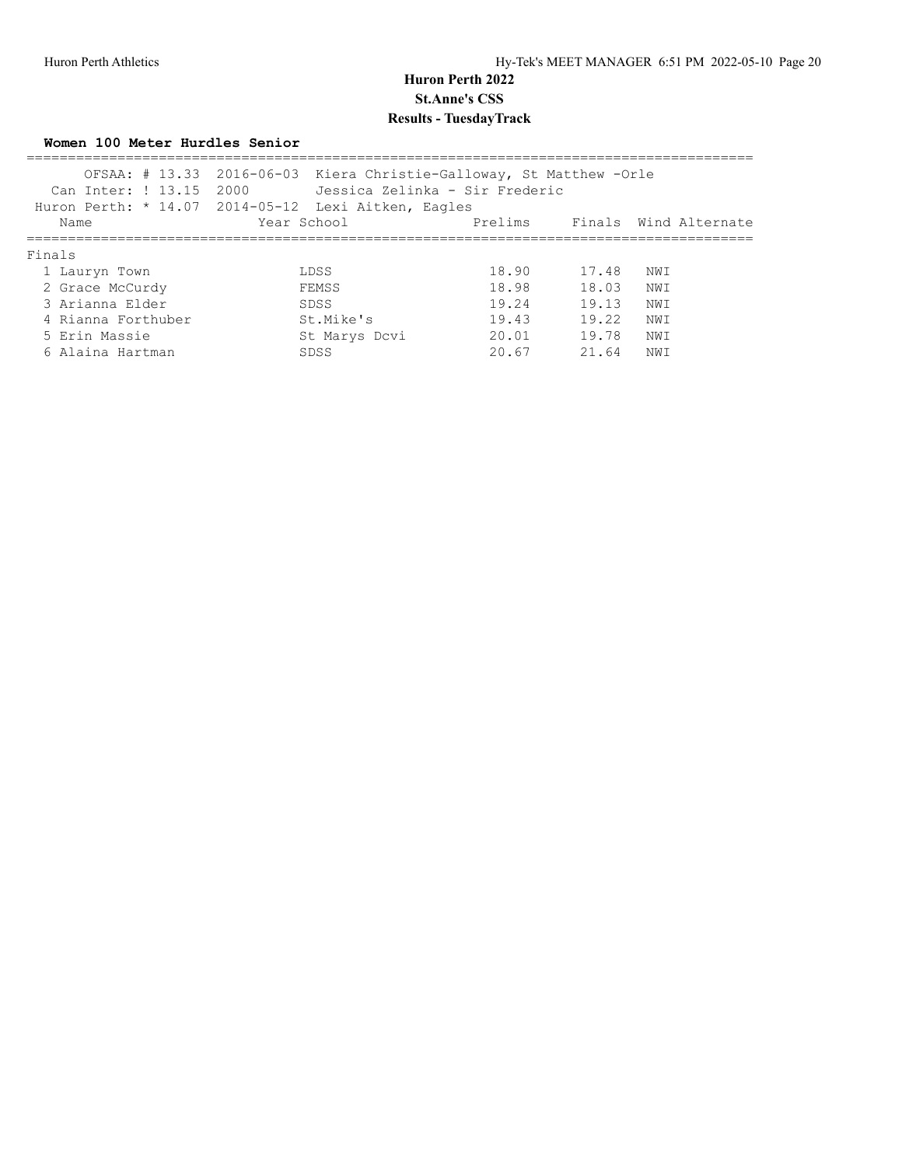**Women 100 Meter Hurdles Senior**

| Can Inter: ! 13.15 2000 | OFSAA: # 13.33 2016-06-03 Kiera Christie-Galloway, St Matthew - Orle<br>Jessica Zelinka - Sir Frederic<br>Huron Perth: * 14.07 2014-05-12 Lexi Aitken, Eagles |       |       |                               |
|-------------------------|---------------------------------------------------------------------------------------------------------------------------------------------------------------|-------|-------|-------------------------------|
| Name                    | Year School                                                                                                                                                   |       |       | Prelims Finals Wind Alternate |
| Finals                  |                                                                                                                                                               |       |       |                               |
| 1 Lauryn Town           | LDSS                                                                                                                                                          | 18.90 | 17.48 | NWI                           |
| 2 Grace McCurdy         | FEMSS                                                                                                                                                         | 18.98 | 18.03 | NWI                           |
| 3 Arianna Elder         | SDSS                                                                                                                                                          | 19.24 | 19.13 | NWI                           |
| 4 Rianna Forthuber      | St.Mike's                                                                                                                                                     | 19.43 | 19.22 | NWI                           |
| 5 Erin Massie           | St Marys Dcvi                                                                                                                                                 | 20.01 | 19.78 | NWI                           |
| 6 Alaina Hartman        | SDSS                                                                                                                                                          | 20.67 | 21.64 | NW I                          |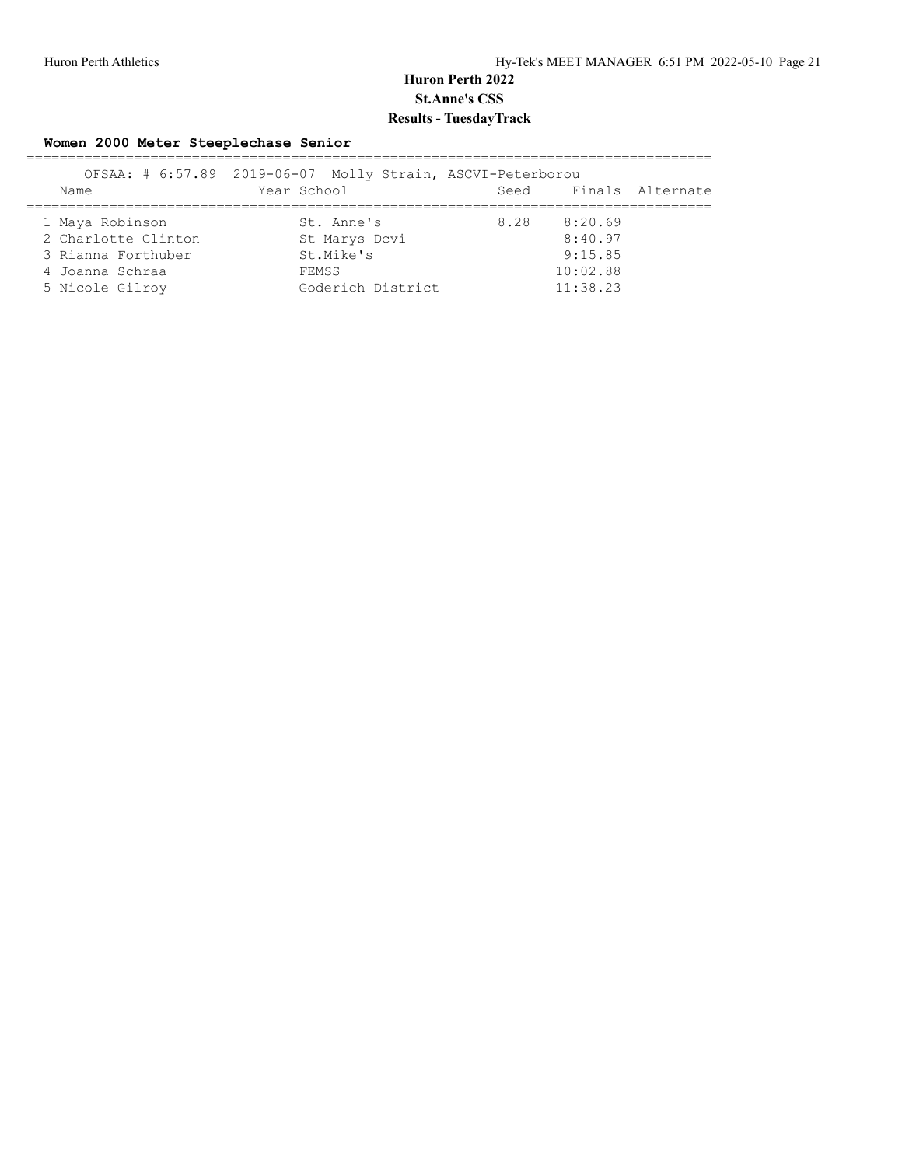#### **Women 2000 Meter Steeplechase Senior**

|                     | OFSAA: # 6:57.89 2019-06-07 Molly Strain, ASCVI-Peterborou |      |          |                  |
|---------------------|------------------------------------------------------------|------|----------|------------------|
| Name                | Year School                                                | Seed |          | Finals Alternate |
| 1 Maya Robinson     | St. Anne's                                                 | 8.28 | 8:20.69  |                  |
| 2 Charlotte Clinton | St Marys Dcvi                                              |      | 8:40.97  |                  |
| 3 Rianna Forthuber  | St.Mike's                                                  |      | 9:15.85  |                  |
| 4 Joanna Schraa     | FEMSS                                                      |      | 10:02.88 |                  |
| 5 Nicole Gilroy     | Goderich District                                          |      | 11:38.23 |                  |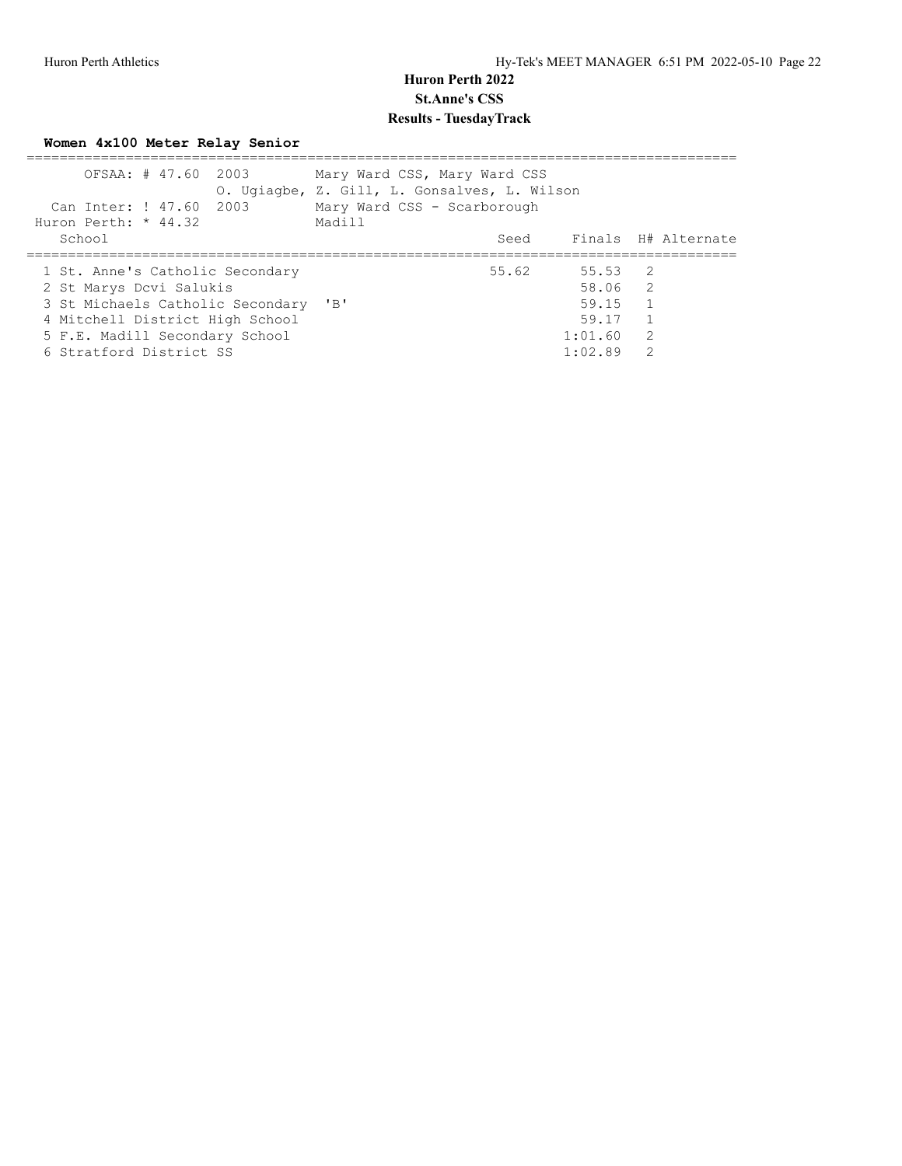# **Women 4x100 Meter Relay Senior**

| OFSAA: # 47.60 2003<br>Can Inter: ! 47.60 2003<br>Huron Perth: $*$ 44.32 | Mary Ward CSS, Mary Ward CSS<br>O. Ugiagbe, Z. Gill, L. Gonsalves, L. Wilson<br>Mary Ward CSS - Scarborough<br>Madill |       |                    |               |                          |
|--------------------------------------------------------------------------|-----------------------------------------------------------------------------------------------------------------------|-------|--------------------|---------------|--------------------------|
| School                                                                   |                                                                                                                       |       |                    |               | Seed Finals H# Alternate |
| 1 St. Anne's Catholic Secondary<br>2 St Marys Dcvi Salukis               |                                                                                                                       | 55.62 | 55.53 2<br>58.06 2 |               |                          |
| 3 St Michaels Catholic Secondary 'B'                                     |                                                                                                                       |       | 59.15              |               |                          |
| 4 Mitchell District High School                                          |                                                                                                                       |       | 59.17              |               |                          |
| 5 F.E. Madill Secondary School                                           |                                                                                                                       |       | 1:01.60            | 2             |                          |
| 6 Stratford District SS                                                  |                                                                                                                       |       | 1:02.89            | $\mathcal{P}$ |                          |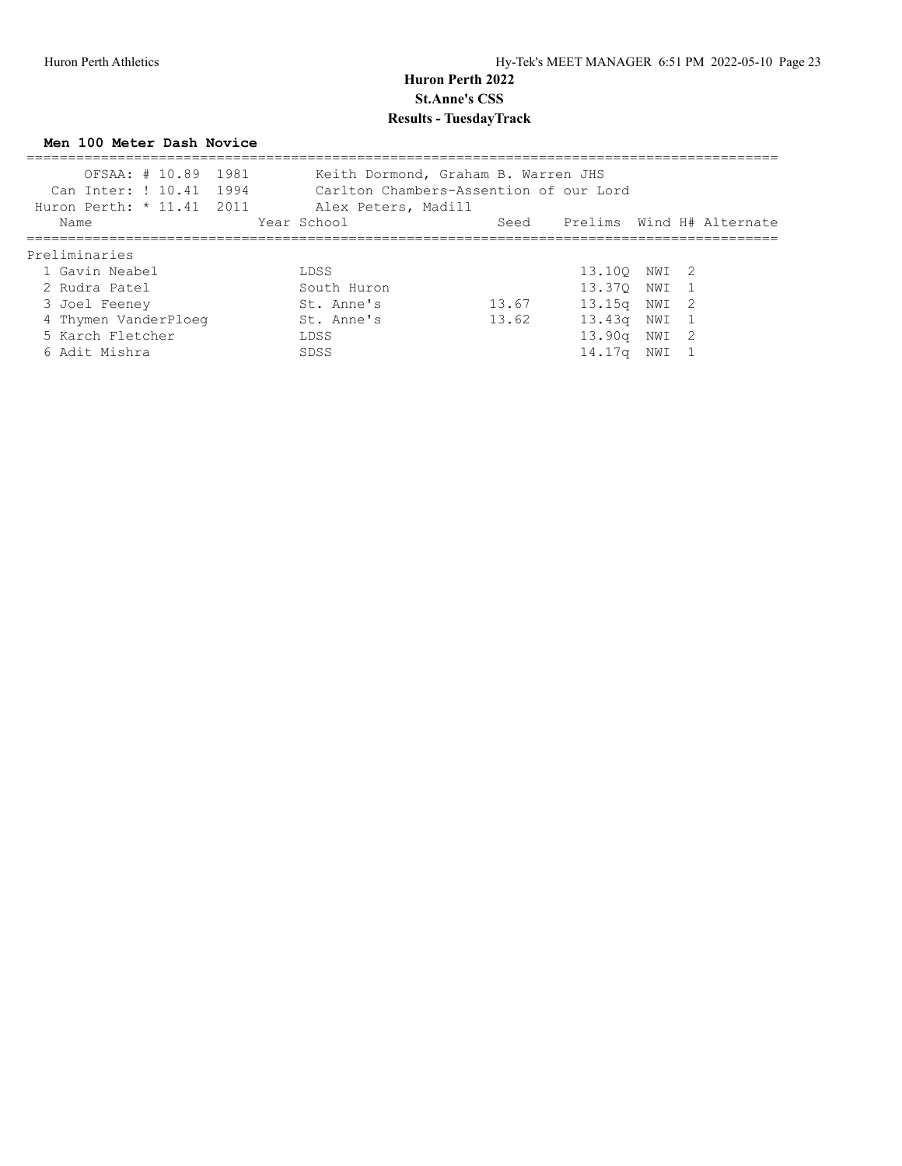**Men 100 Meter Dash Novice**

| Huron Perth: * 11.41 2011 | OFSAA: # 10.89 1981<br>Can Inter: ! 10.41 1994 | Keith Dormond, Graham B. Warren JHS<br>Carlton Chambers-Assention of our Lord<br>Alex Peters, Madill |       |                                |       |  |
|---------------------------|------------------------------------------------|------------------------------------------------------------------------------------------------------|-------|--------------------------------|-------|--|
| Name                      |                                                | Year School                                                                                          |       | Seed Prelims Wind H# Alternate |       |  |
| Preliminaries             |                                                |                                                                                                      |       |                                |       |  |
| 1 Gavin Neabel            |                                                | LDSS                                                                                                 |       | 13.100 NWI 2                   |       |  |
| 2 Rudra Patel             |                                                | South Huron                                                                                          |       | 13.370                         | NWI 1 |  |
| 3 Joel Feeney             |                                                | St. Anne's                                                                                           | 13.67 | 13.15 <sub>q</sub>             | NWI 2 |  |
| 4 Thymen VanderPloeg      |                                                | St. Anne's                                                                                           | 13.62 | 13.43a                         | NWI 1 |  |
| 5 Karch Fletcher          |                                                | LDSS                                                                                                 |       | 13.90q                         | NWI 2 |  |
| 6 Adit Mishra             |                                                | SDSS                                                                                                 |       | 14.17q                         | NWI   |  |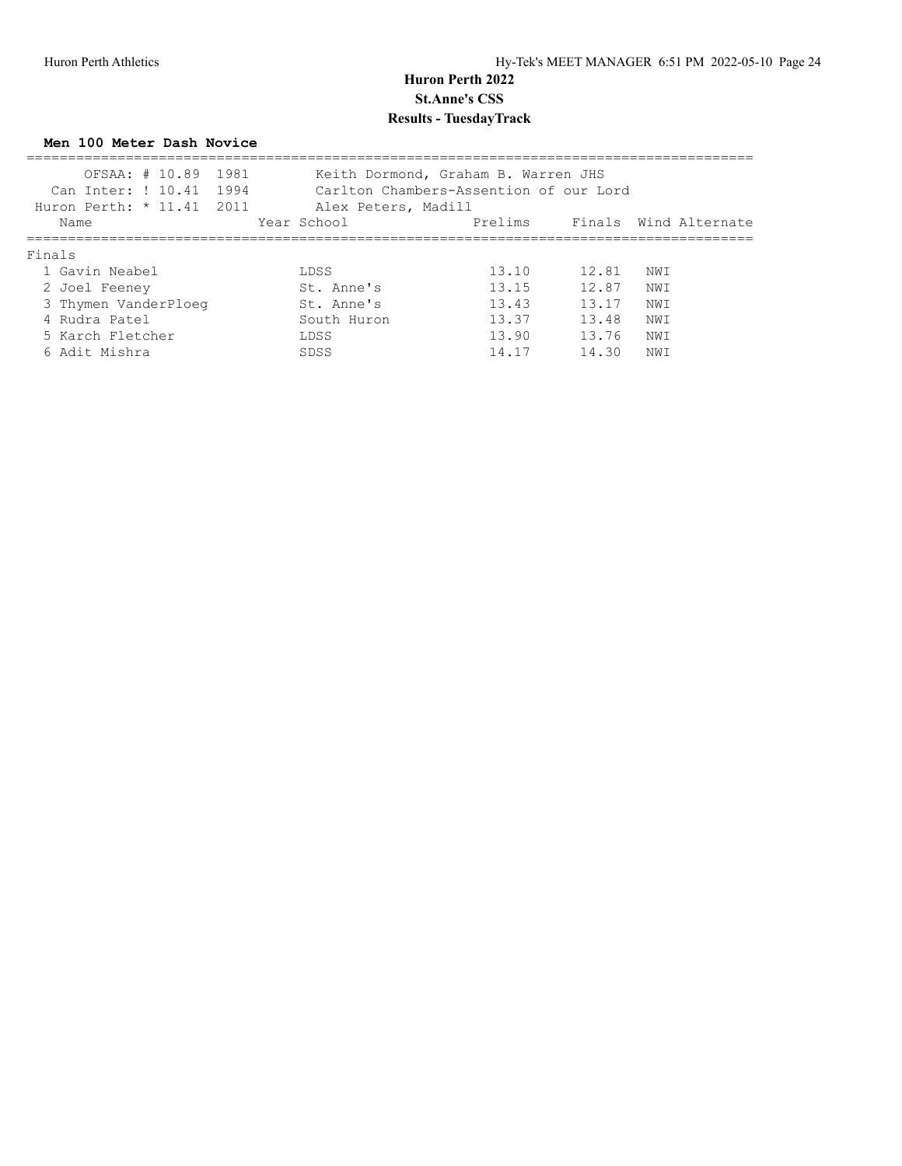**Men 100 Meter Dash Novice**

| OFSAA: # 10.89<br>Can Inter: ! 10.41<br>Huron Perth: * 11.41 2011 | 1981<br>1994<br>Alex Peters, Madill | Keith Dormond, Graham B. Warren JHS<br>Carlton Chambers-Assention of our Lord |       |      |                       |
|-------------------------------------------------------------------|-------------------------------------|-------------------------------------------------------------------------------|-------|------|-----------------------|
| Name                                                              | Year School                         | Prelims                                                                       |       |      | Finals Wind Alternate |
| Finals                                                            |                                     |                                                                               |       |      |                       |
| 1 Gavin Neabel                                                    | LDSS                                | 13.10                                                                         | 12.81 | NW T |                       |
| 2 Joel Feeney                                                     | St. Anne's                          | 13.15                                                                         | 12.87 | NW T |                       |
| 3 Thymen VanderPloeg                                              | St. Anne's                          | 13.43                                                                         | 13.17 | NWI  |                       |
| 4 Rudra Patel                                                     | South Huron                         | 13.37                                                                         | 13.48 | NWI  |                       |
| 5 Karch Fletcher                                                  | LDSS                                | 13.90                                                                         | 13.76 | NWI  |                       |
| 6 Adit Mishra                                                     | SDSS                                | 14.17                                                                         | 14.30 | NWI  |                       |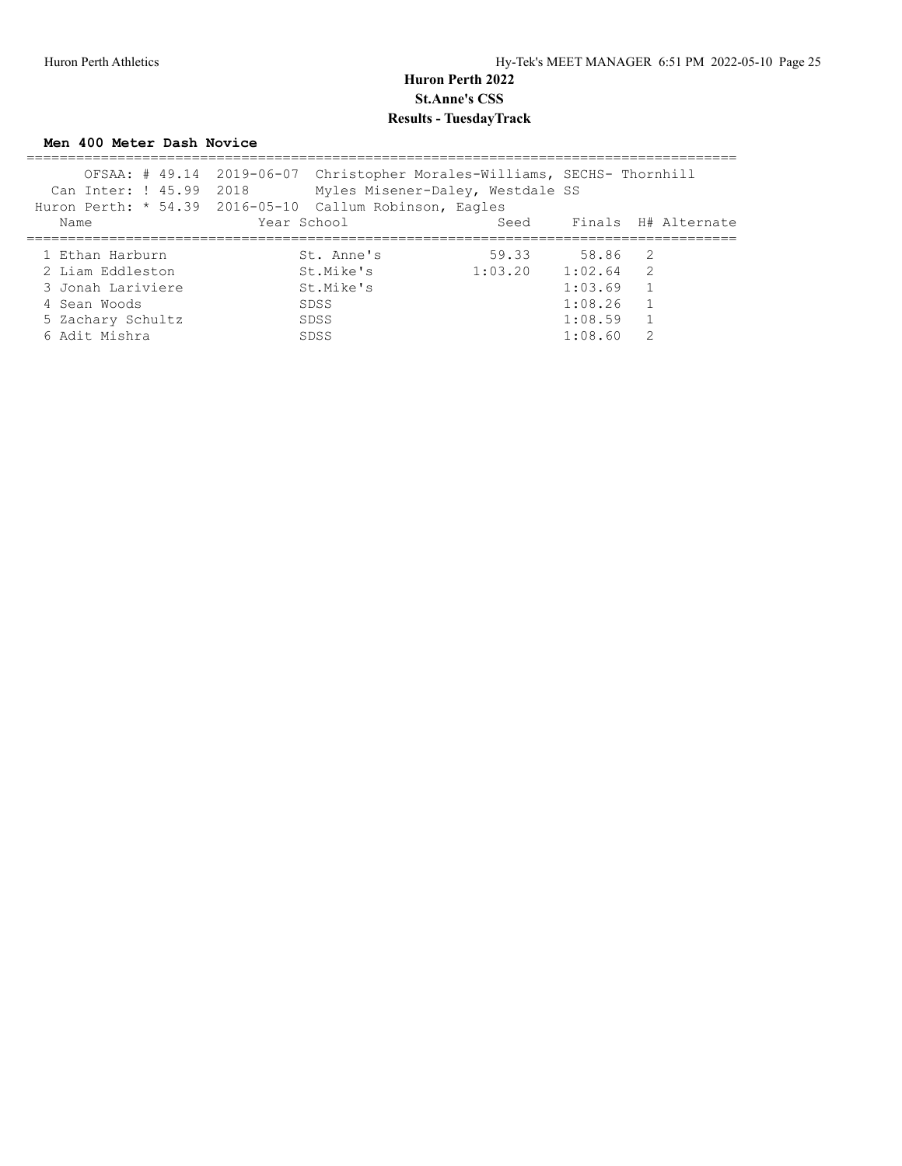**Men 400 Meter Dash Novice**

|                         | OFSAA: # 49.14 2019-06-07 Christopher Morales-Williams, SECHS- Thornhill |         |             |                     |
|-------------------------|--------------------------------------------------------------------------|---------|-------------|---------------------|
| Can Inter: ! 45.99 2018 | Myles Misener-Daley, Westdale SS                                         |         |             |                     |
|                         | Huron Perth: * 54.39 2016-05-10 Callum Robinson, Eagles                  |         |             |                     |
| Name                    | Year School                                                              | Seed    |             | Finals H# Alternate |
|                         |                                                                          |         |             |                     |
| 1 Ethan Harburn         | St. Anne's                                                               | 59.33   | 58.86 2     |                     |
| 2 Liam Eddleston        | St.Mike's                                                                | 1:03.20 | $1:02.64$ 2 |                     |
| 3 Jonah Lariviere       | St.Mike's                                                                |         | 1:03.69     | $\overline{1}$      |
| 4 Sean Woods            | SDSS                                                                     |         | 1:08.26     |                     |
| 5 Zachary Schultz       | SDSS                                                                     |         | 1:08.59     |                     |
| 6 Adit Mishra           | SDSS                                                                     |         | 1:08.60     | 2                   |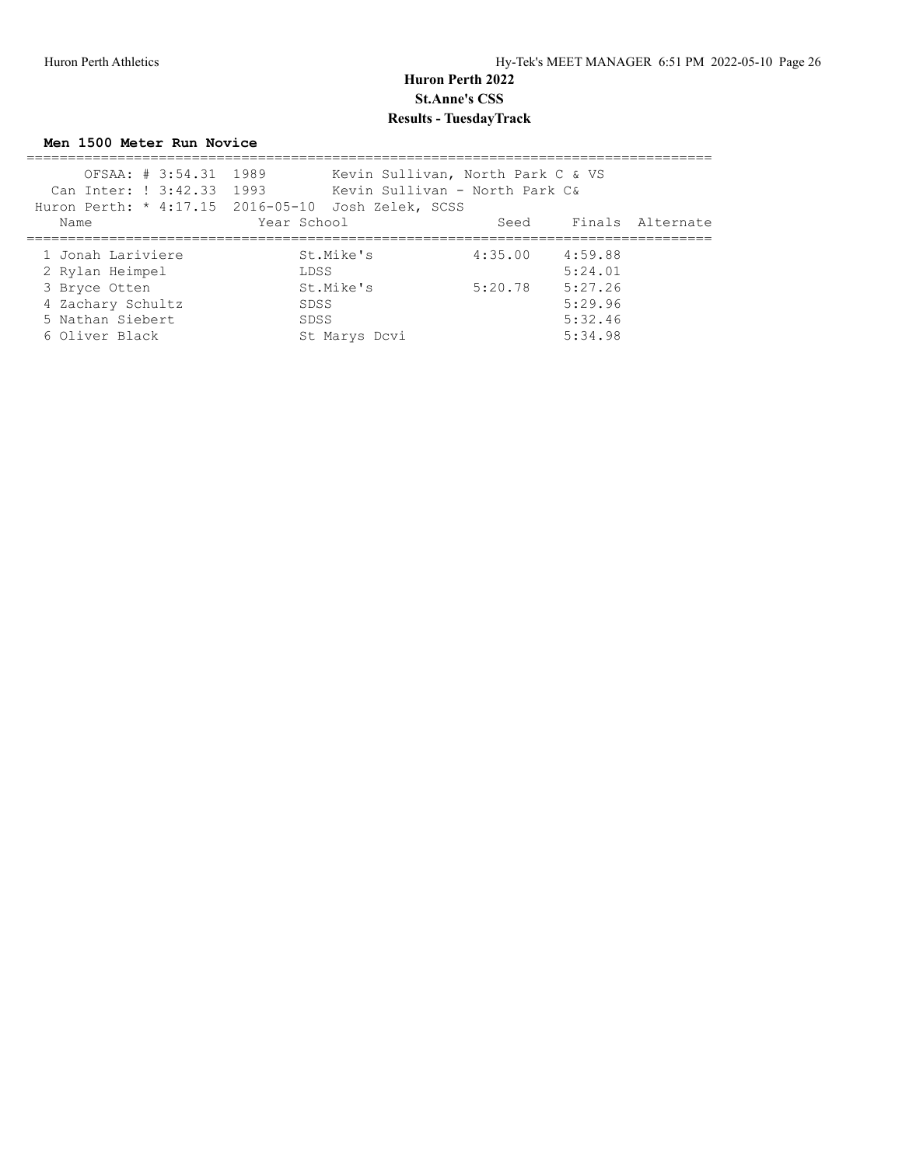**Men 1500 Meter Run Novice**

| OFSAA: # 3:54.31 1989     | Kevin Sullivan, North Park C & VS                  |         |         |                       |
|---------------------------|----------------------------------------------------|---------|---------|-----------------------|
| Can Inter: ! 3:42.33 1993 | Kevin Sullivan - North Park C&                     |         |         |                       |
|                           | Huron Perth: * 4:17.15 2016-05-10 Josh Zelek, SCSS |         |         |                       |
| Name                      | Year School                                        |         |         | Seed Finals Alternate |
|                           |                                                    |         |         |                       |
| 1 Jonah Lariviere         | St.Mike's                                          | 4:35.00 | 4:59.88 |                       |
| 2 Rylan Heimpel           | LDSS                                               |         | 5:24.01 |                       |
| 3 Bryce Otten             | St.Mike's                                          | 5:20.78 | 5:27.26 |                       |
| 4 Zachary Schultz         | SDSS                                               |         | 5:29.96 |                       |
| 5 Nathan Siebert          | SDSS                                               |         | 5:32.46 |                       |
| 6 Oliver Black            | St Marys Dcvi                                      |         | 5:34.98 |                       |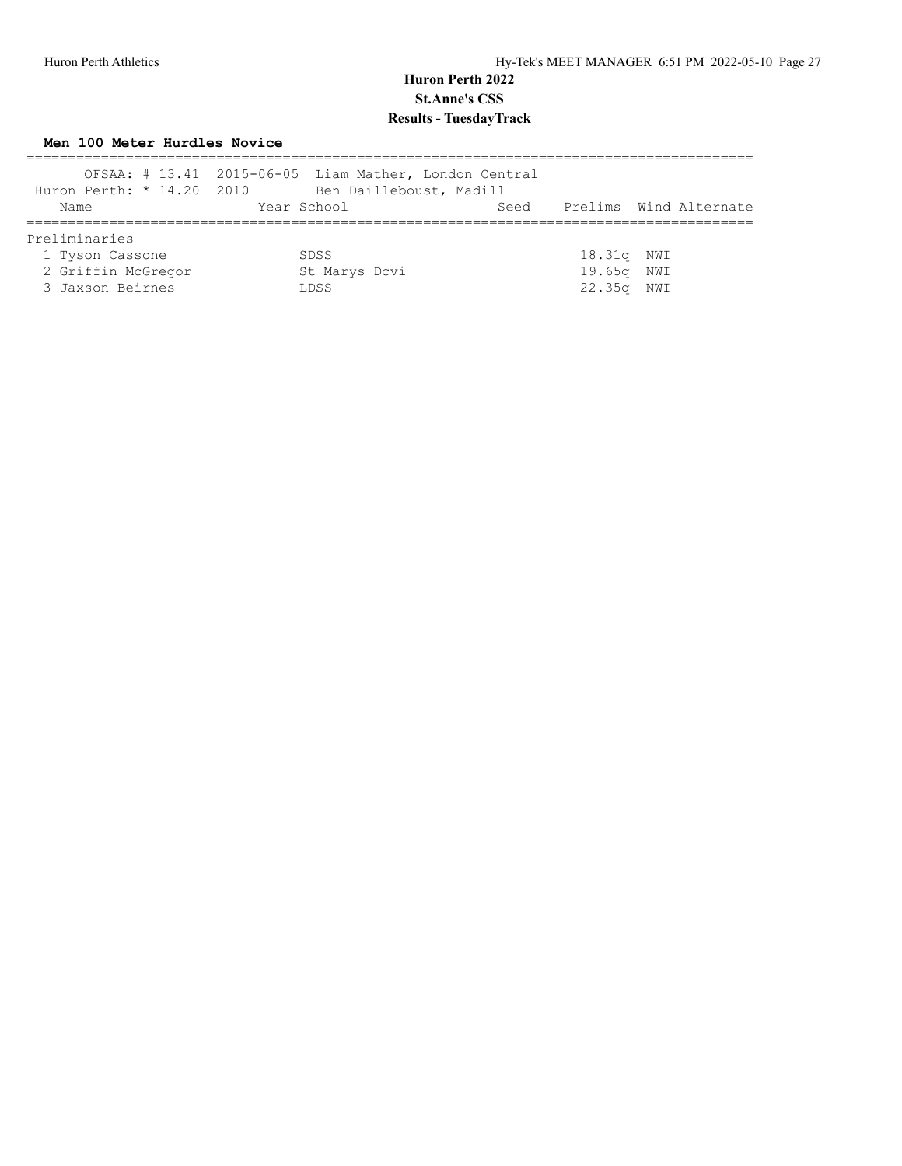### **Men 100 Meter Hurdles Novice**

| Huron Perth: * 14.20 2010 | OFSAA: # 13.41 2015-06-05 Liam Mather, London Central<br>Ben Dailleboust, Madill |            |                             |
|---------------------------|----------------------------------------------------------------------------------|------------|-----------------------------|
| Name                      | Year School                                                                      |            | Seed Prelims Wind Alternate |
| Preliminaries             |                                                                                  |            |                             |
| 1 Tyson Cassone           | SDSS                                                                             | 18.31g NWI |                             |
| 2 Griffin McGregor        | St Marys Dcvi                                                                    | 19.65g NWI |                             |
| 3 Jaxson Beirnes          | LDSS                                                                             | 22.35g NWI |                             |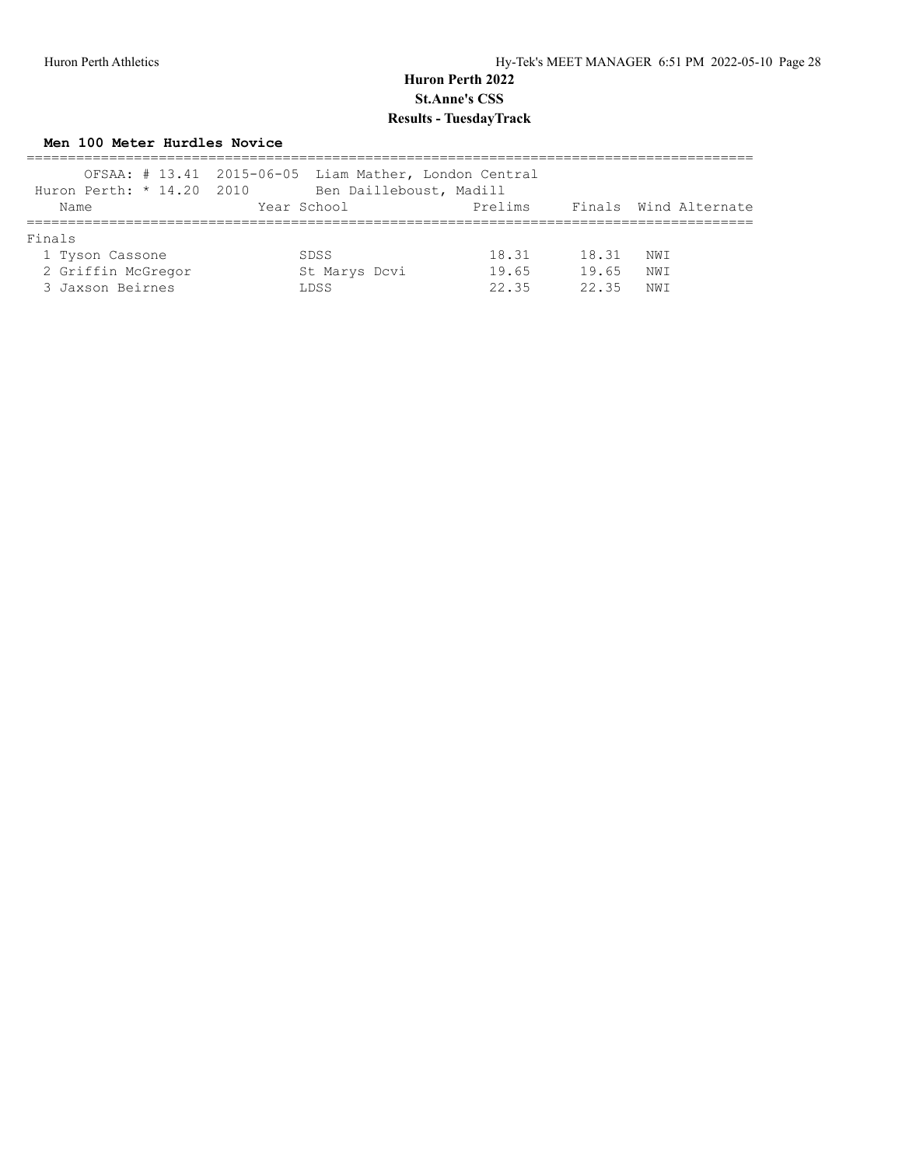### **Men 100 Meter Hurdles Novice**

| Huron Perth: * 14.20 2010 | OFSAA: # 13.41 2015-06-05 Liam Mather, London Central<br>Ben Dailleboust, Madill |         |       |                       |
|---------------------------|----------------------------------------------------------------------------------|---------|-------|-----------------------|
| Name                      | Year School                                                                      | Prelims |       | Finals Wind Alternate |
| Finals                    |                                                                                  |         |       |                       |
| 1 Tyson Cassone           | <b>SDSS</b>                                                                      | 18.31   | 18.31 | NWI                   |
| 2 Griffin McGregor        | St Marys Dcvi                                                                    | 19.65   | 19.65 | NWI                   |
| 3 Jaxson Beirnes          | LDSS                                                                             | 22.35   | 22.35 | NWI                   |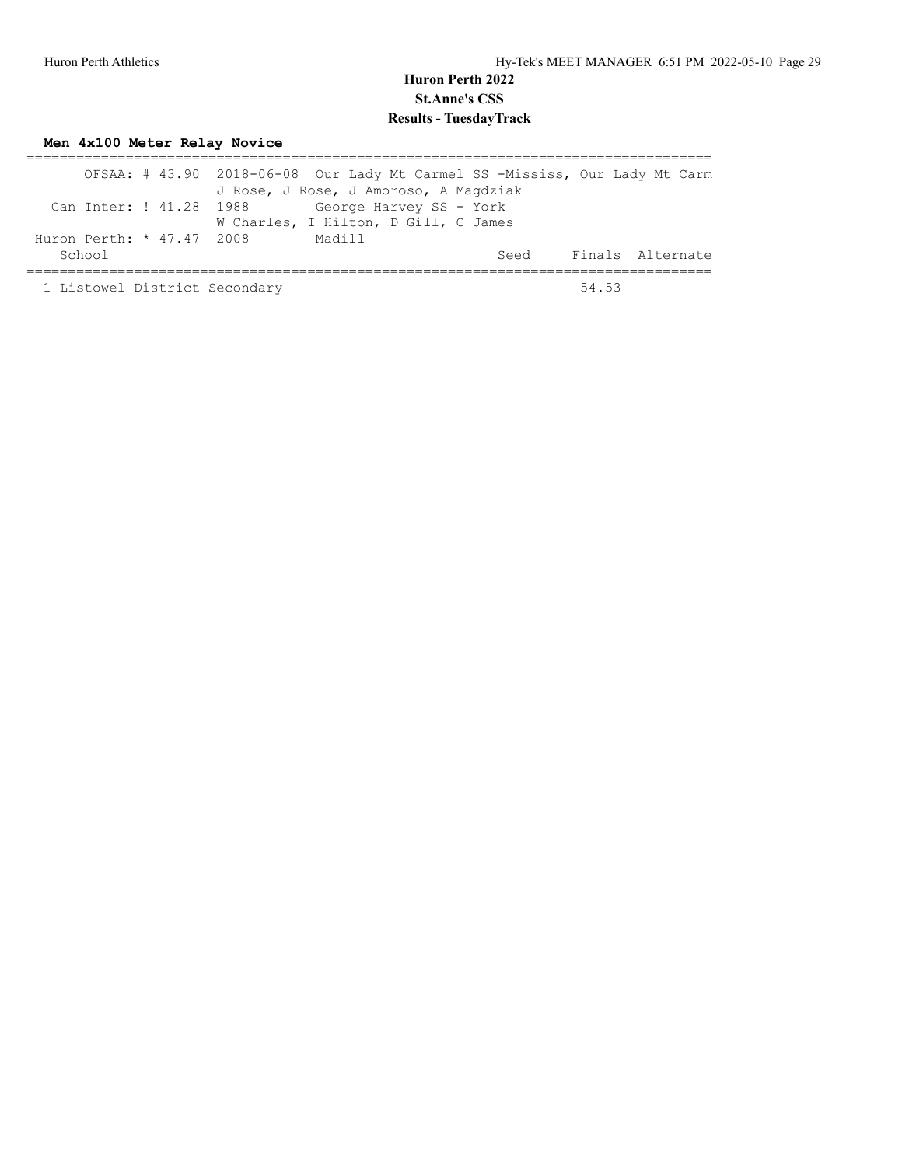# **Men 4x100 Meter Relay Novice**

|                                       | OFSAA: # 43.90 2018-06-08 Our Lady Mt Carmel SS -Mississ, Our Lady Mt Carm<br>J Rose, J Rose, J Amoroso, A Magdziak |       |                       |
|---------------------------------------|---------------------------------------------------------------------------------------------------------------------|-------|-----------------------|
| Can Inter: ! 41.28 1988               | George Harvey SS - York<br>W Charles, I Hilton, D Gill, C James                                                     |       |                       |
| Huron Perth: $*$ 47.47 2008<br>School | Madill                                                                                                              |       | Seed Finals Alternate |
| 1 Listowel District Secondary         |                                                                                                                     | 54 53 |                       |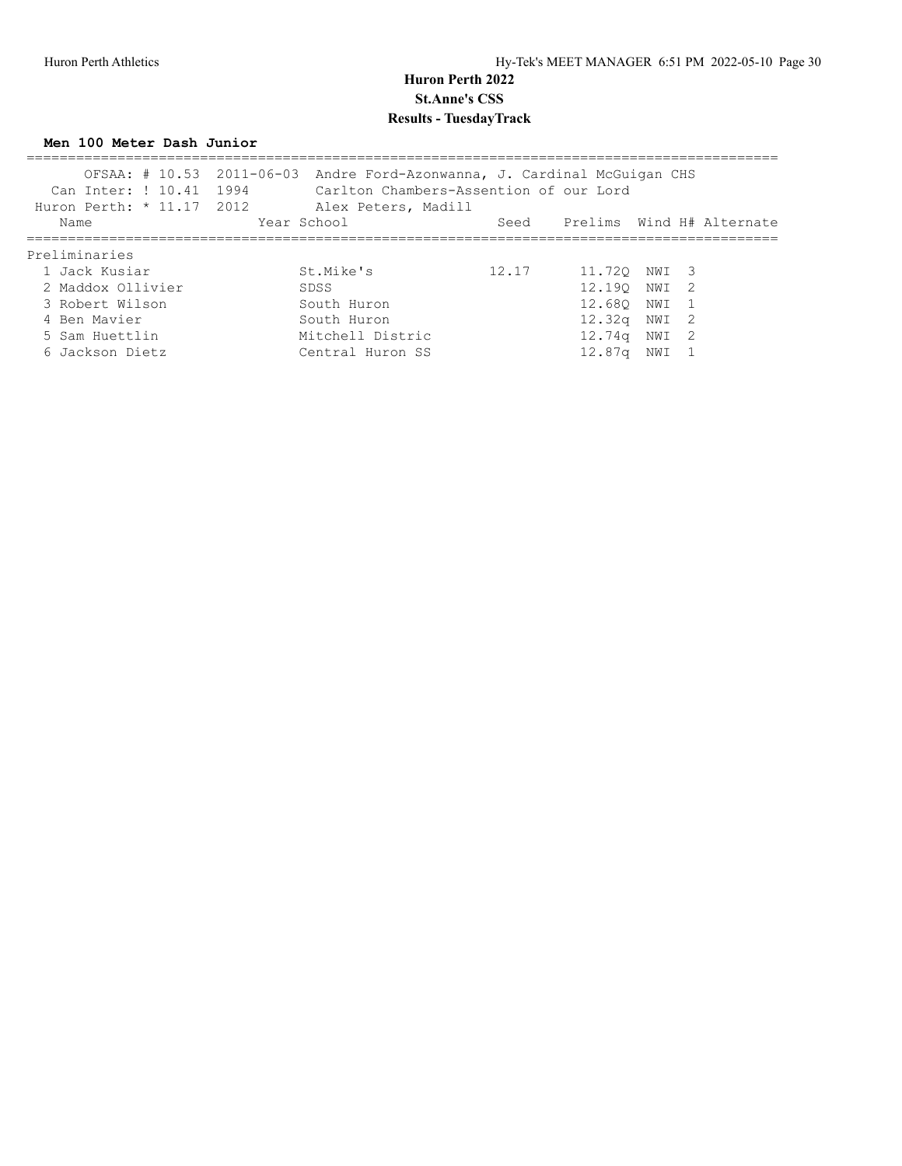#### **Men 100 Meter Dash Junior**

| Can Inter: ! 10.41 1994<br>Huron Perth: $* 11.17 2012$ | OFSAA: # 10.53 2011-06-03 Andre Ford-Azonwanna, J. Cardinal McGuigan CHS<br>Carlton Chambers-Assention of our Lord<br>Alex Peters, Madill |       |                    |       |                           |
|--------------------------------------------------------|-------------------------------------------------------------------------------------------------------------------------------------------|-------|--------------------|-------|---------------------------|
| Name                                                   | Year School                                                                                                                               | Seed  |                    |       | Prelims Wind H# Alternate |
| Preliminaries                                          |                                                                                                                                           |       |                    |       |                           |
| 1 Jack Kusiar                                          | St.Mike's                                                                                                                                 | 12.17 | 11.720 NWI 3       |       |                           |
| 2 Maddox Ollivier                                      | SDSS                                                                                                                                      |       | 12,190             | NWI 2 |                           |
| 3 Robert Wilson                                        | South Huron                                                                                                                               |       | 12.680             | NWI 1 |                           |
| 4 Ben Mavier                                           | South Huron                                                                                                                               |       | 12.32q             | NWI 2 |                           |
| 5 Sam Huettlin                                         | Mitchell Distric                                                                                                                          |       | 12.74g             | NWI 2 |                           |
| 6 Jackson Dietz                                        | Central Huron SS                                                                                                                          |       | 12.87 <sub>q</sub> | NWI   |                           |
|                                                        |                                                                                                                                           |       |                    |       |                           |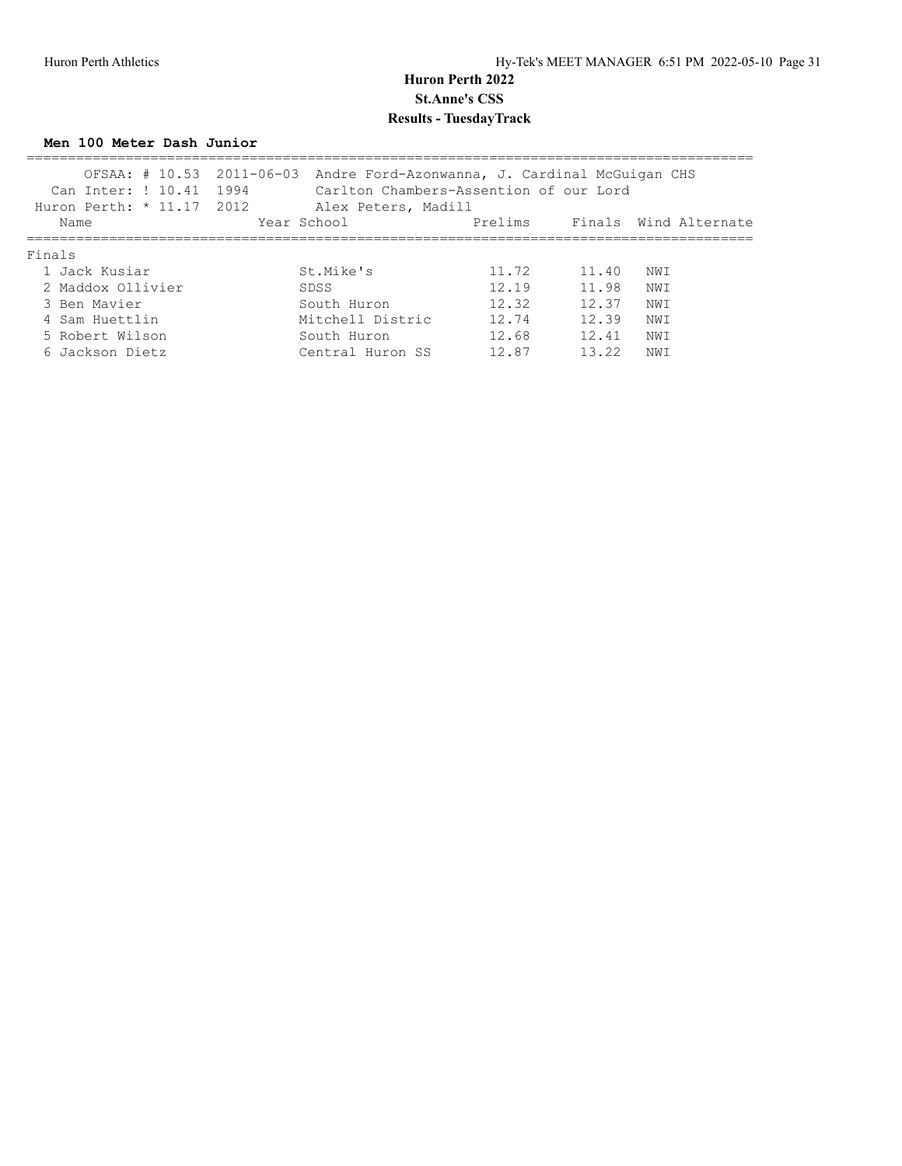#### **Men 100 Meter Dash Junior**

| Can Inter: ! 10.41 1994<br>Huron Perth: * 11.17 2012 | OFSAA: # 10.53 2011-06-03 Andre Ford-Azonwanna, J. Cardinal McGuigan CHS<br>Carlton Chambers-Assention of our Lord<br>Alex Peters, Madill |         |       |                       |
|------------------------------------------------------|-------------------------------------------------------------------------------------------------------------------------------------------|---------|-------|-----------------------|
| Name                                                 | Year School                                                                                                                               | Prelims |       | Finals Wind Alternate |
| Finals                                               |                                                                                                                                           |         |       |                       |
| 1 Jack Kusiar                                        | St.Mike's                                                                                                                                 | 11.72   | 11.40 | NW I                  |
| 2 Maddox Ollivier                                    | SDSS                                                                                                                                      | 12.19   | 11.98 | NW T                  |
| 3 Ben Mavier                                         | South Huron                                                                                                                               | 12.32   | 12.37 | NWI                   |
| 4 Sam Huettlin                                       | Mitchell Distric                                                                                                                          | 12.74   | 12.39 | NWI                   |
| 5 Robert Wilson                                      | South Huron                                                                                                                               | 12.68   | 12.41 | NWI                   |
| 6 Jackson Dietz                                      | Central Huron SS                                                                                                                          | 12.87   | 13.22 | NW I                  |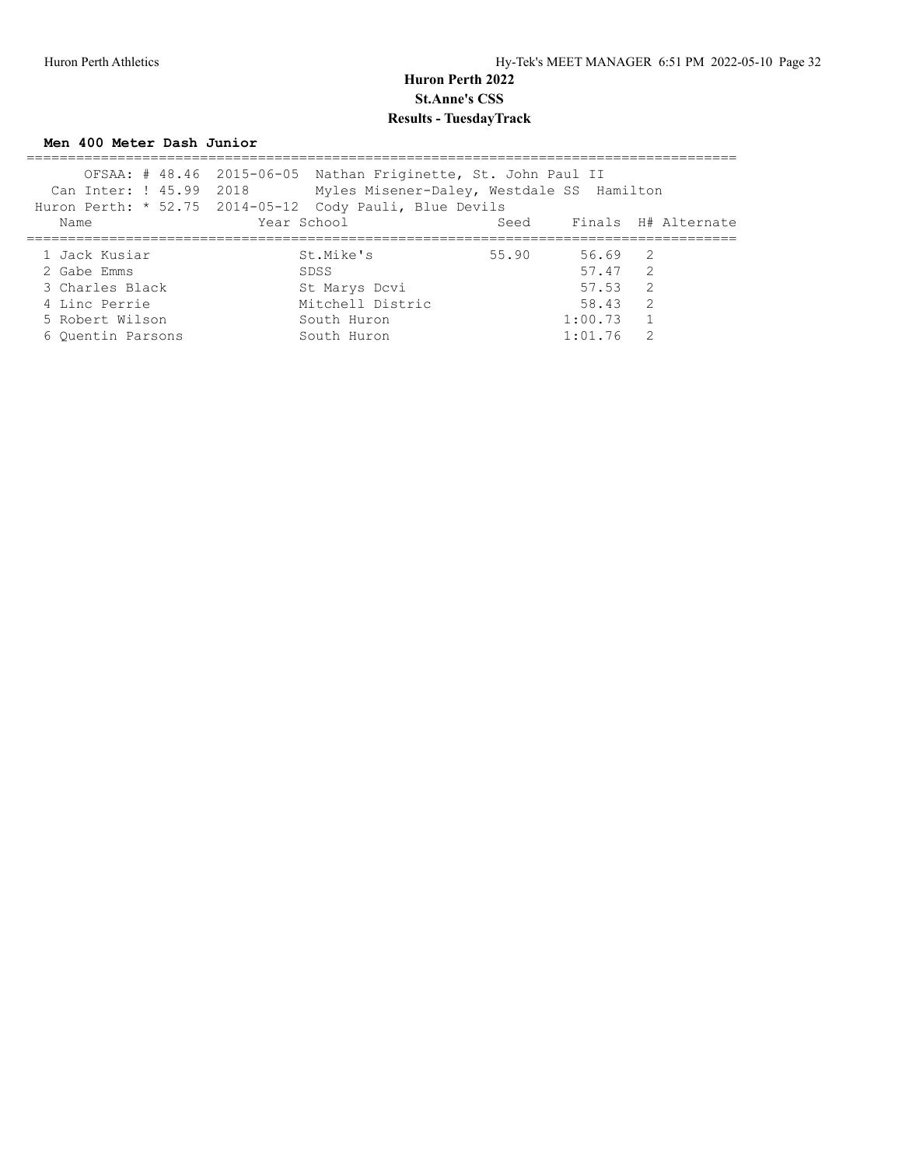#### **Men 400 Meter Dash Junior**

| Can Inter: ! 45.99 2018 | OFSAA: # 48.46 2015-06-05 Nathan Friginette, St. John Paul II<br>Myles Misener-Daley, Westdale SS Hamilton |       |         |                |                          |
|-------------------------|------------------------------------------------------------------------------------------------------------|-------|---------|----------------|--------------------------|
|                         | Huron Perth: * 52.75 2014-05-12 Cody Pauli, Blue Devils                                                    |       |         |                |                          |
| Name                    | Year School                                                                                                |       |         |                | Seed Finals H# Alternate |
|                         |                                                                                                            |       |         |                |                          |
| 1 Jack Kusiar           | St.Mike's                                                                                                  | 55.90 | 56.69 2 |                |                          |
| 2 Gabe Emms             | SDSS                                                                                                       |       | 57.47 2 |                |                          |
| 3 Charles Black         | St Marys Dcvi                                                                                              |       | 57.53   | $\overline{2}$ |                          |
| 4 Linc Perrie           | Mitchell Distric                                                                                           |       | 58.43 2 |                |                          |
| 5 Robert Wilson         | South Huron                                                                                                |       | 1:00.73 |                |                          |
| 6 Ouentin Parsons       | South Huron                                                                                                |       | 1:01.76 | $\mathcal{P}$  |                          |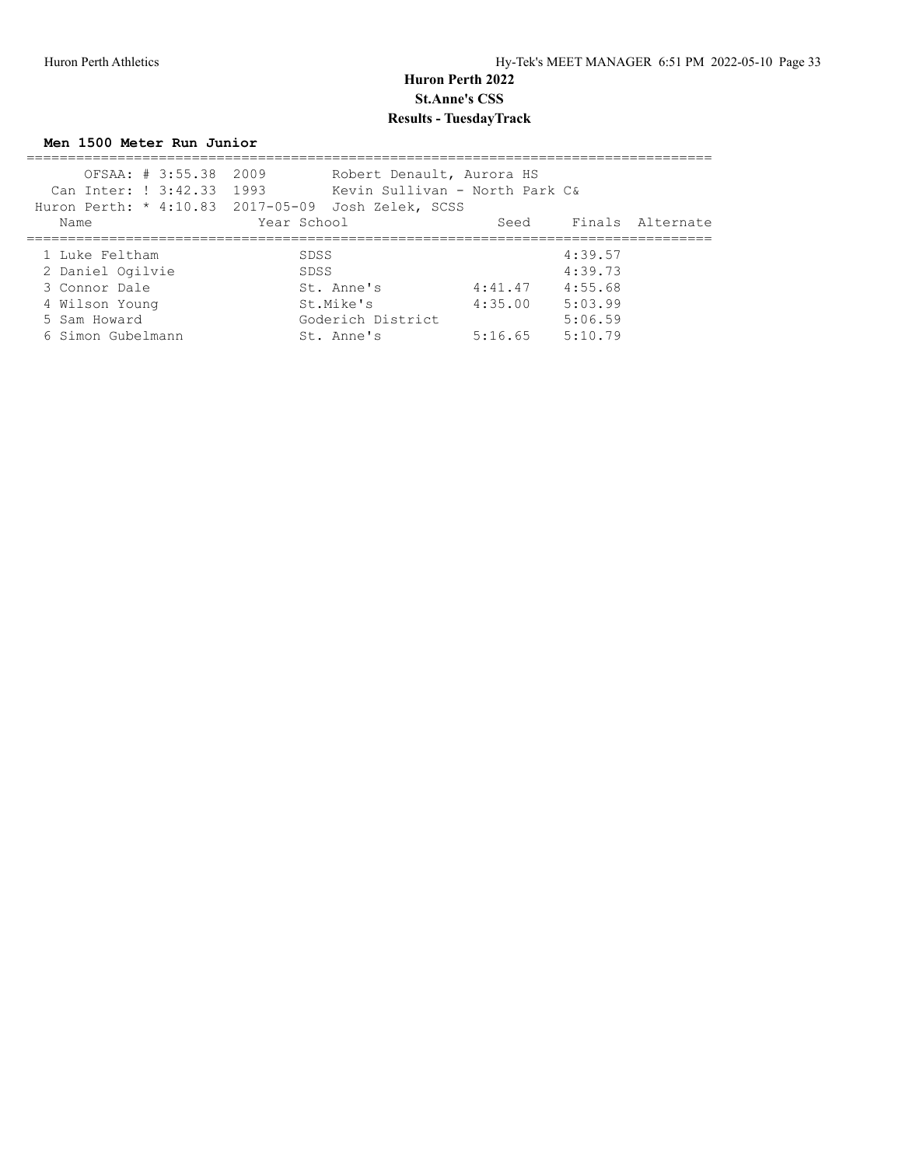**Men 1500 Meter Run Junior**

| OFSAA: # 3:55.38 2009<br>Can Inter: ! 3:42.33 1993 | Robert Denault, Aurora HS<br>Kevin Sullivan - North Park C& |         |         |                       |
|----------------------------------------------------|-------------------------------------------------------------|---------|---------|-----------------------|
|                                                    | Huron Perth: * 4:10.83 2017-05-09 Josh Zelek, SCSS          |         |         |                       |
| Name                                               | Year School                                                 |         |         | Seed Finals Alternate |
|                                                    |                                                             |         |         |                       |
| 1 Luke Feltham                                     | SDSS                                                        |         | 4:39.57 |                       |
| 2 Daniel Ogilvie                                   | SDSS                                                        |         | 4:39.73 |                       |
| 3 Connor Dale                                      | St. Anne's                                                  | 4:41.47 | 4:55.68 |                       |
| 4 Wilson Young                                     | St.Mike's                                                   | 4:35.00 | 5:03.99 |                       |
| 5 Sam Howard                                       | Goderich District                                           |         | 5:06.59 |                       |
| 6 Simon Gubelmann                                  | St. Anne's                                                  | 5:16.65 | 5:10.79 |                       |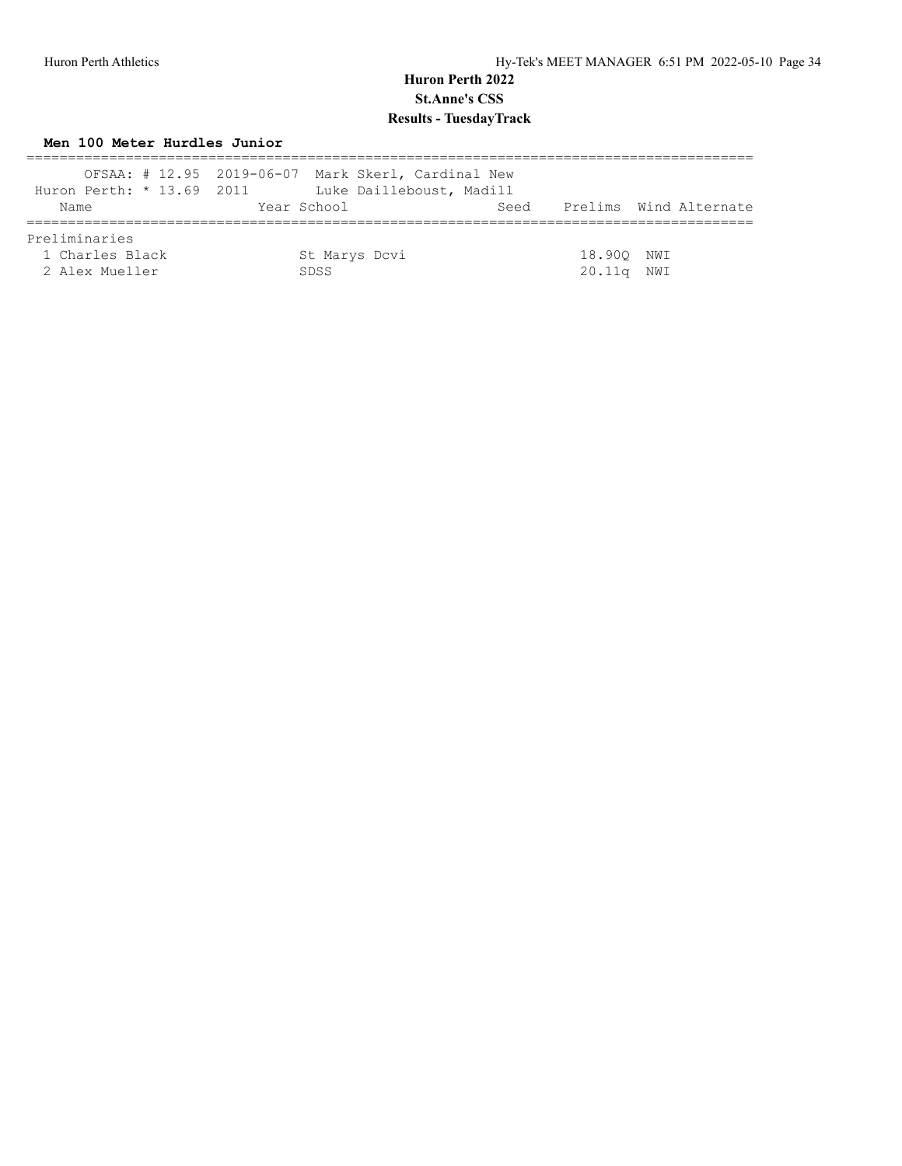## **Men 100 Meter Hurdles Junior**

|                           | OFSAA: # 12.95 2019-06-07 Mark Skerl, Cardinal New |      |            |                        |
|---------------------------|----------------------------------------------------|------|------------|------------------------|
| Huron Perth: * 13.69 2011 | Luke Dailleboust, Madill                           |      |            |                        |
| Name                      | Year School                                        | Seed |            | Prelims Wind Alternate |
|                           |                                                    |      |            |                        |
| Preliminaries             |                                                    |      |            |                        |
| 1 Charles Black           | St Marys Dcvi                                      |      | 18.900 NWI |                        |
| 2 Alex Mueller            | SDSS.                                              |      | 20.11q     | NWI                    |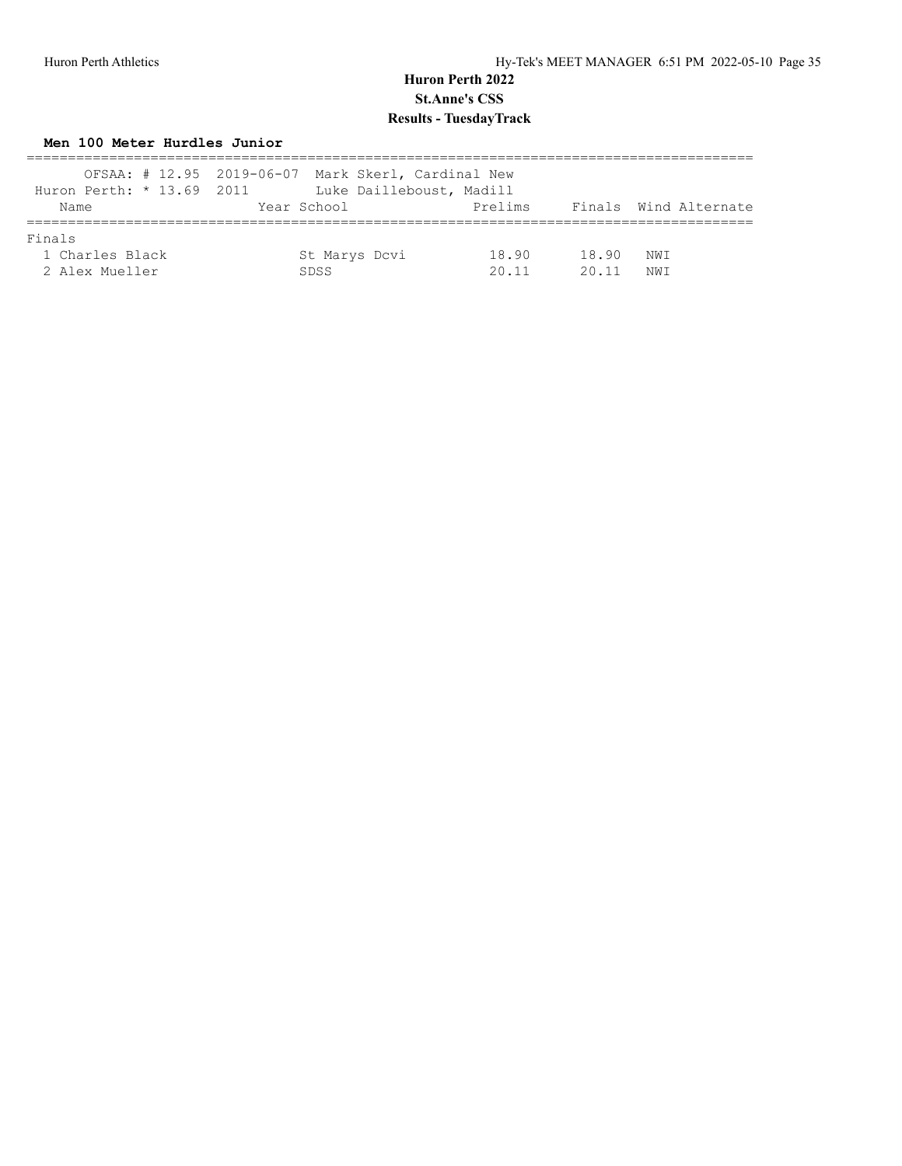### **Men 100 Meter Hurdles Junior**

|                           | OFSAA: # 12.95 2019-06-07 Mark Skerl, Cardinal New |         |       |                       |
|---------------------------|----------------------------------------------------|---------|-------|-----------------------|
| Huron Perth: * 13.69 2011 | Luke Dailleboust, Madill                           |         |       |                       |
| Name                      | Year School                                        | Prelims |       | Finals Wind Alternate |
| Finals                    |                                                    |         |       |                       |
| 1 Charles Black           | St Marys Dcvi                                      | 18.90   | 18.90 | NWI                   |
| 2 Alex Mueller            | SDSS                                               | 2011    | 20 11 | NW T                  |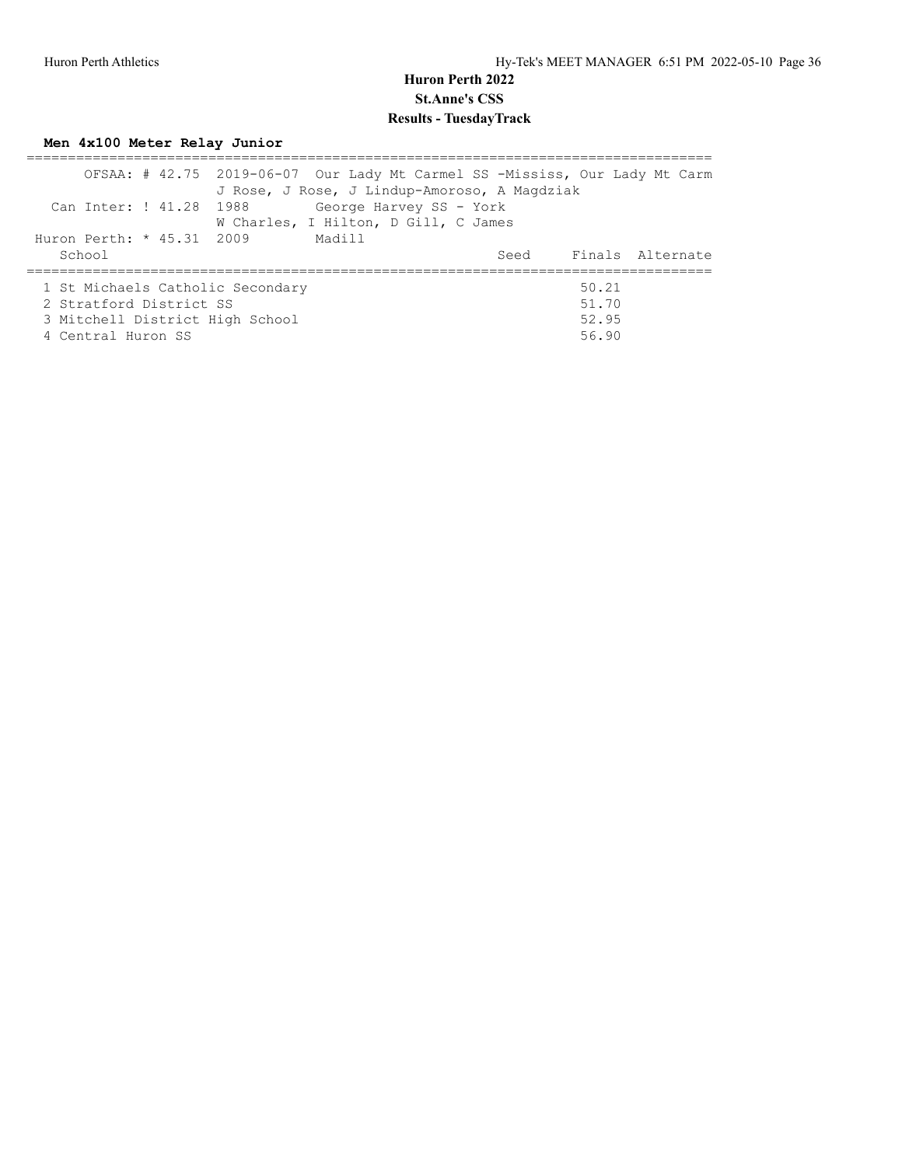# **Men 4x100 Meter Relay Junior**

|                                  |  | OFSAA: # 42.75 2019-06-07 Our Lady Mt Carmel SS -Mississ, Our Lady Mt Carm |        |                         |  |       |                       |
|----------------------------------|--|----------------------------------------------------------------------------|--------|-------------------------|--|-------|-----------------------|
|                                  |  | J Rose, J Rose, J Lindup-Amoroso, A Magdziak                               |        |                         |  |       |                       |
| Can Inter: ! 41.28 1988          |  |                                                                            |        | George Harvey SS - York |  |       |                       |
|                                  |  | W Charles, I Hilton, D Gill, C James                                       |        |                         |  |       |                       |
| Huron Perth: * 45.31 2009        |  |                                                                            | Madill |                         |  |       |                       |
| School                           |  |                                                                            |        |                         |  |       | Seed Finals Alternate |
|                                  |  |                                                                            |        |                         |  |       |                       |
| 1 St Michaels Catholic Secondary |  |                                                                            |        |                         |  | 50.21 |                       |
| 2 Stratford District SS          |  |                                                                            |        |                         |  | 51.70 |                       |
| 3 Mitchell District High School  |  |                                                                            |        |                         |  | 52.95 |                       |
| 4 Central Huron SS               |  |                                                                            |        |                         |  | 56.90 |                       |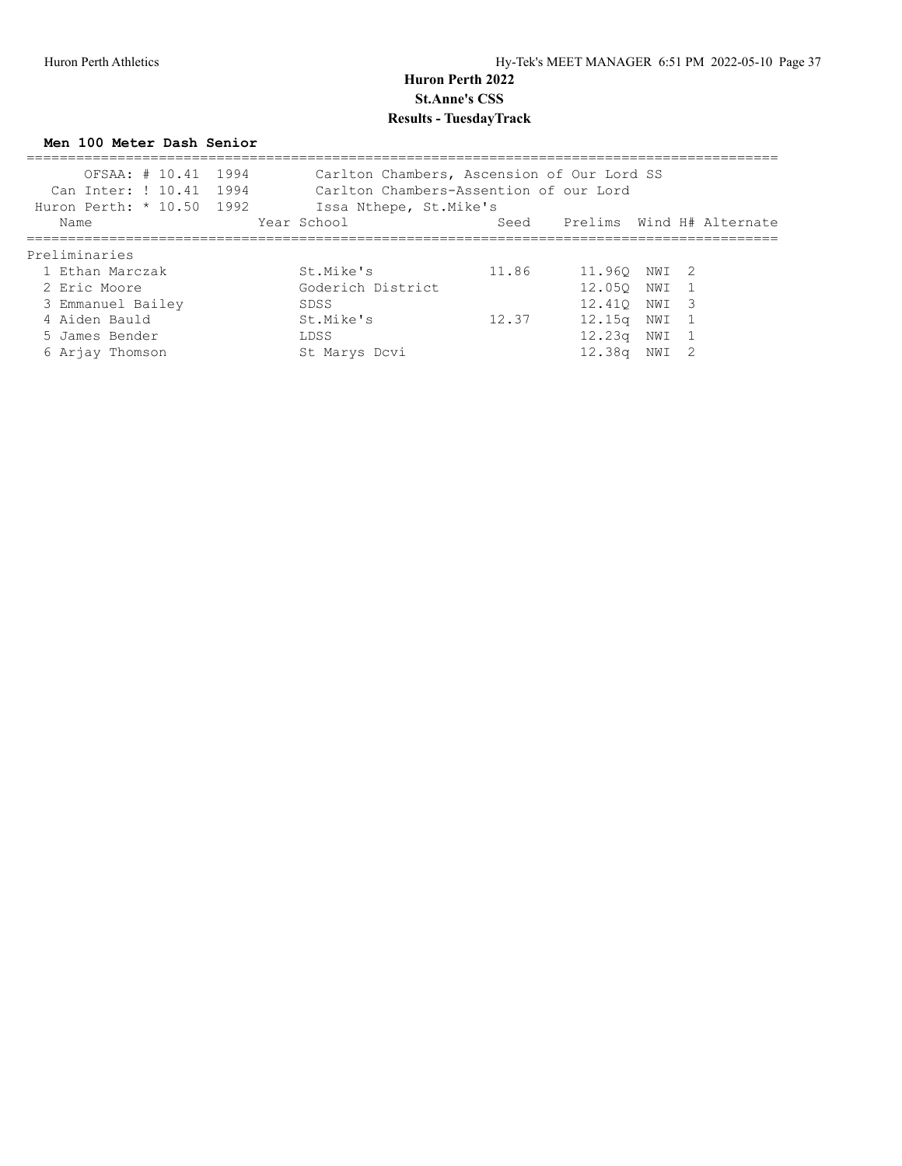**Men 100 Meter Dash Senior**

| OFSAA: # 10.41 1994<br>Can Inter: ! 10.41 1994<br>Huron Perth: * 10.50 1992 | Carlton Chambers, Ascension of Our Lord SS<br>Carlton Chambers-Assention of our Lord<br>Issa Nthepe, St.Mike's |       |                                |       |  |
|-----------------------------------------------------------------------------|----------------------------------------------------------------------------------------------------------------|-------|--------------------------------|-------|--|
| Name                                                                        | Year School                                                                                                    |       | Seed Prelims Wind H# Alternate |       |  |
| Preliminaries                                                               |                                                                                                                |       |                                |       |  |
| 1 Ethan Marczak                                                             | St.Mike's                                                                                                      | 11.86 | 11.960 NWI 2                   |       |  |
| 2 Eric Moore                                                                | Goderich District                                                                                              |       | 12.050 NWI 1                   |       |  |
| 3 Emmanuel Bailey                                                           | SDSS                                                                                                           |       | 12.410 NWI 3                   |       |  |
| 4 Aiden Bauld                                                               | St.Mike's                                                                                                      | 12.37 | 12.15a                         | NWI 1 |  |
| 5 James Bender                                                              | LDSS                                                                                                           |       | 12.23a                         | NWI 1 |  |
| 6 Arjay Thomson                                                             | St Marys Dcvi                                                                                                  |       | 12.38a                         | NWI 2 |  |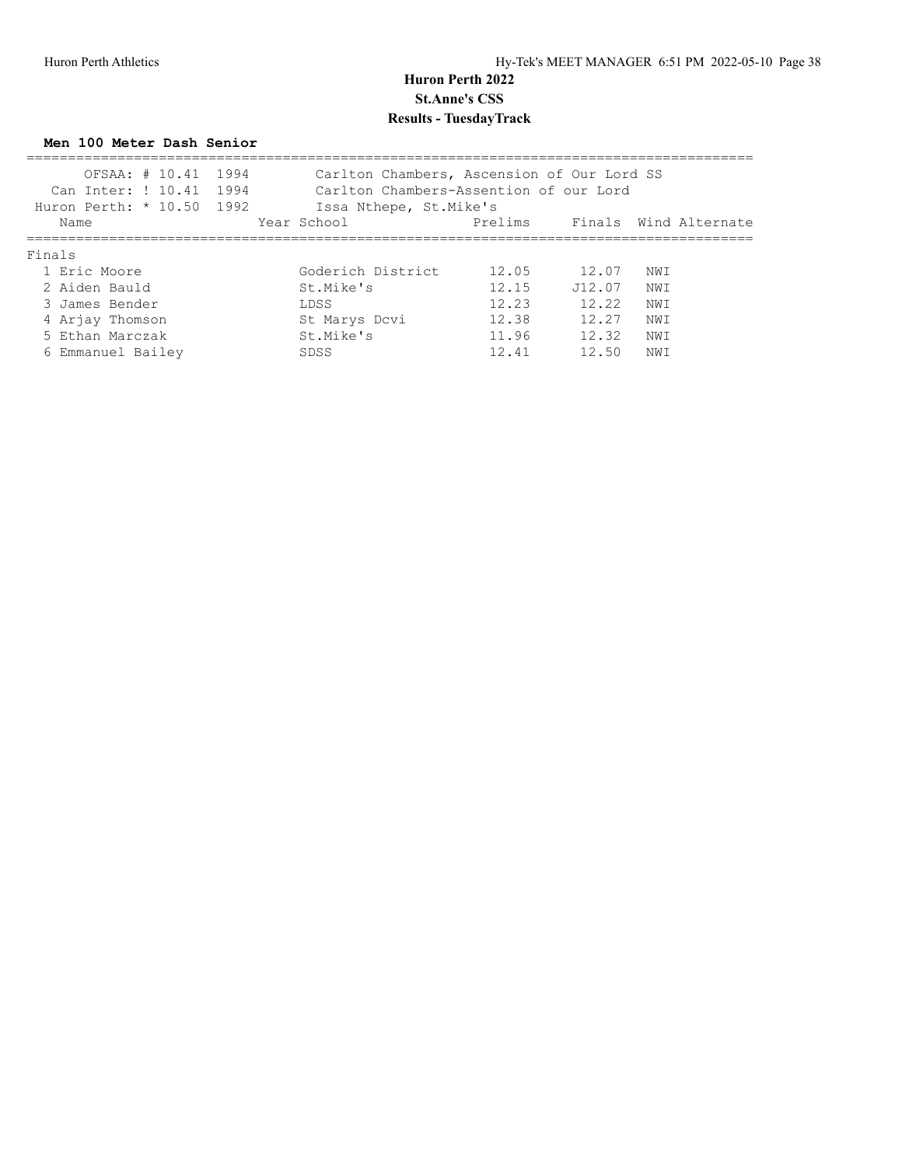#### **Men 100 Meter Dash Senior**

| OFSAA: # 10.41 1994<br>Can Inter: ! 10.41 1994<br>Huron Perth: $* 10.50 1992$ | Carlton Chambers, Ascension of Our Lord SS<br>Carlton Chambers-Assention of our Lord<br>Issa Nthepe, St. Mike's |         |         |      |                       |
|-------------------------------------------------------------------------------|-----------------------------------------------------------------------------------------------------------------|---------|---------|------|-----------------------|
| Name                                                                          | Year School                                                                                                     | Prelims |         |      | Finals Wind Alternate |
| Finals                                                                        |                                                                                                                 |         |         |      |                       |
| 1 Eric Moore                                                                  | Goderich District                                                                                               | 12.05   | 12.07   | NWI  |                       |
| 2 Aiden Bauld                                                                 | St.Mike's                                                                                                       | 12.15   | .T12.07 | NW T |                       |
| 3 James Bender                                                                | LDSS                                                                                                            | 12.23   | 12.22   | NWI  |                       |
| 4 Arjay Thomson                                                               | St Marys Dcvi                                                                                                   | 12.38   | 12.27   | NW I |                       |
| 5 Ethan Marczak                                                               | St.Mike's                                                                                                       | 11.96   | 12.32   | NW I |                       |
| 6 Emmanuel Bailey                                                             | SDSS                                                                                                            | 12.41   | 12.50   | NW I |                       |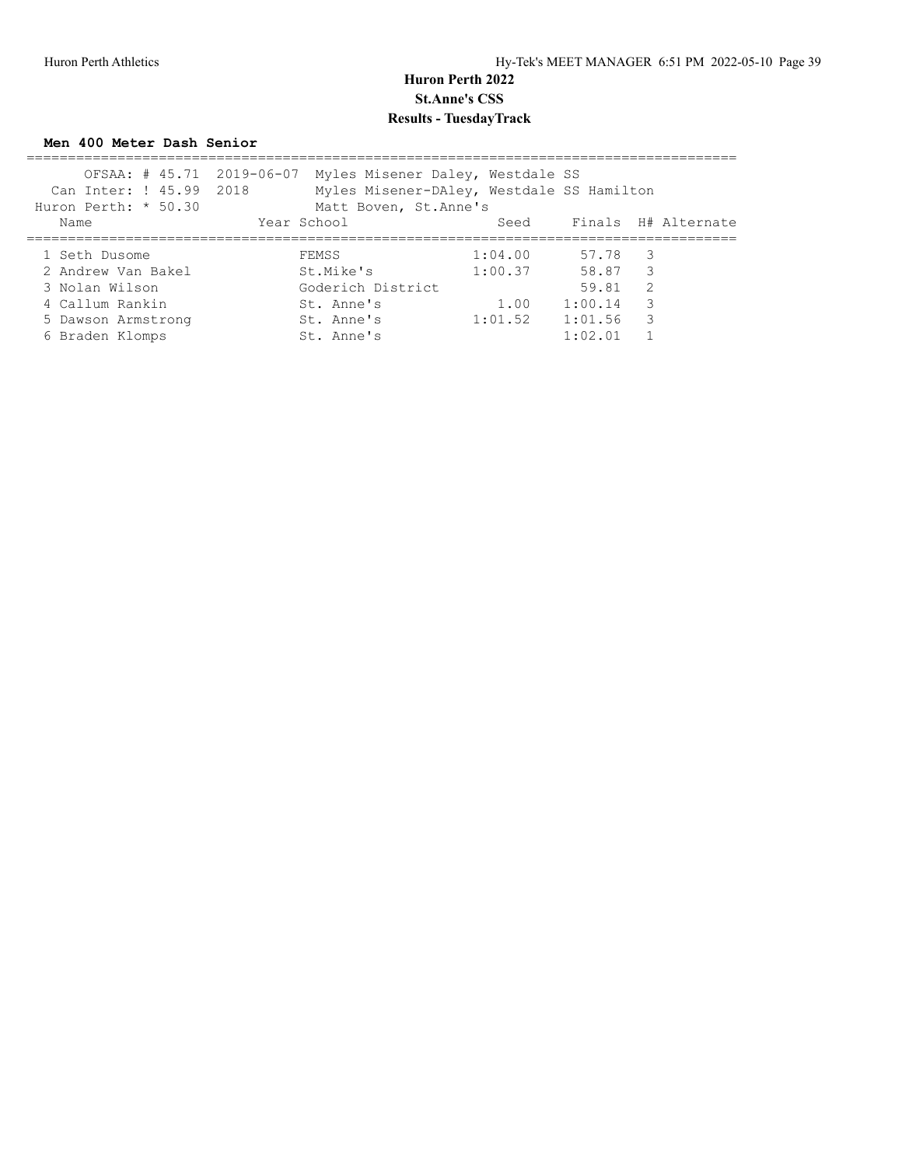#### **Men 400 Meter Dash Senior**

| OFSAA: # 45.71 2019-06-07 | Myles Misener Daley, Westdale SS          |         |         |                     |
|---------------------------|-------------------------------------------|---------|---------|---------------------|
| Can Inter: ! 45.99 2018   | Myles Misener-DAley, Westdale SS Hamilton |         |         |                     |
| Huron Perth: * 50.30      | Matt Boven, St. Anne's                    |         |         |                     |
| Name                      | Year School                               | Seed    |         | Finals H# Alternate |
|                           |                                           |         |         |                     |
| 1 Seth Dusome             | FEMSS                                     | 1:04.00 | 57.78 3 |                     |
| 2 Andrew Van Bakel        | St.Mike's                                 | 1:00.37 | 58.87 3 |                     |
| 3 Nolan Wilson            | Goderich District                         |         | 59.81   | -2                  |
| 4 Callum Rankin           | St. Anne's                                | 1.00    | 1:00.14 | 3                   |
| 5 Dawson Armstrong        | St. Anne's                                | 1:01.52 | 1:01.56 | 3                   |
| 6 Braden Klomps           | St. Anne's                                |         | 1:02.01 |                     |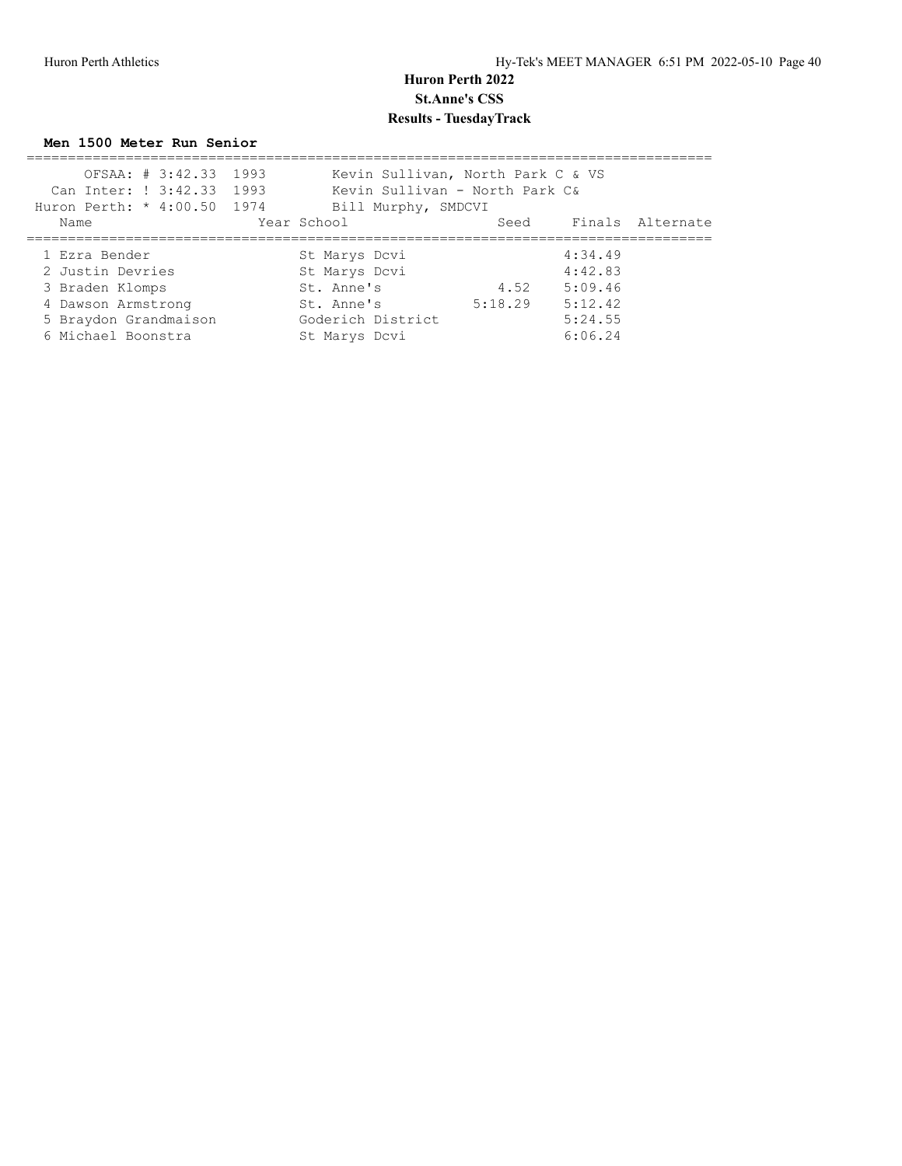**Men 1500 Meter Run Senior**

| OFSAA: # 3:42.33 1993       | Kevin Sullivan, North Park C & VS |         |         |                       |
|-----------------------------|-----------------------------------|---------|---------|-----------------------|
| Can Inter: ! 3:42.33 1993   | Kevin Sullivan - North Park C&    |         |         |                       |
| Huron Perth: * 4:00.50 1974 | Bill Murphy, SMDCVI               |         |         |                       |
| Name                        | Year School                       |         |         | Seed Finals Alternate |
|                             |                                   |         |         |                       |
| 1 Ezra Bender               | St Marys Dcvi                     |         | 4:34.49 |                       |
| 2 Justin Devries            | St Marys Dcvi                     |         | 4:42.83 |                       |
| 3 Braden Klomps             | St. Anne's                        | 4.52    | 5:09.46 |                       |
| 4 Dawson Armstrong          | St. Anne's                        | 5:18.29 | 5:12.42 |                       |
| 5 Braydon Grandmaison       | Goderich District                 |         | 5:24.55 |                       |
| 6 Michael Boonstra          | St Marys Dcvi                     |         | 6:06.24 |                       |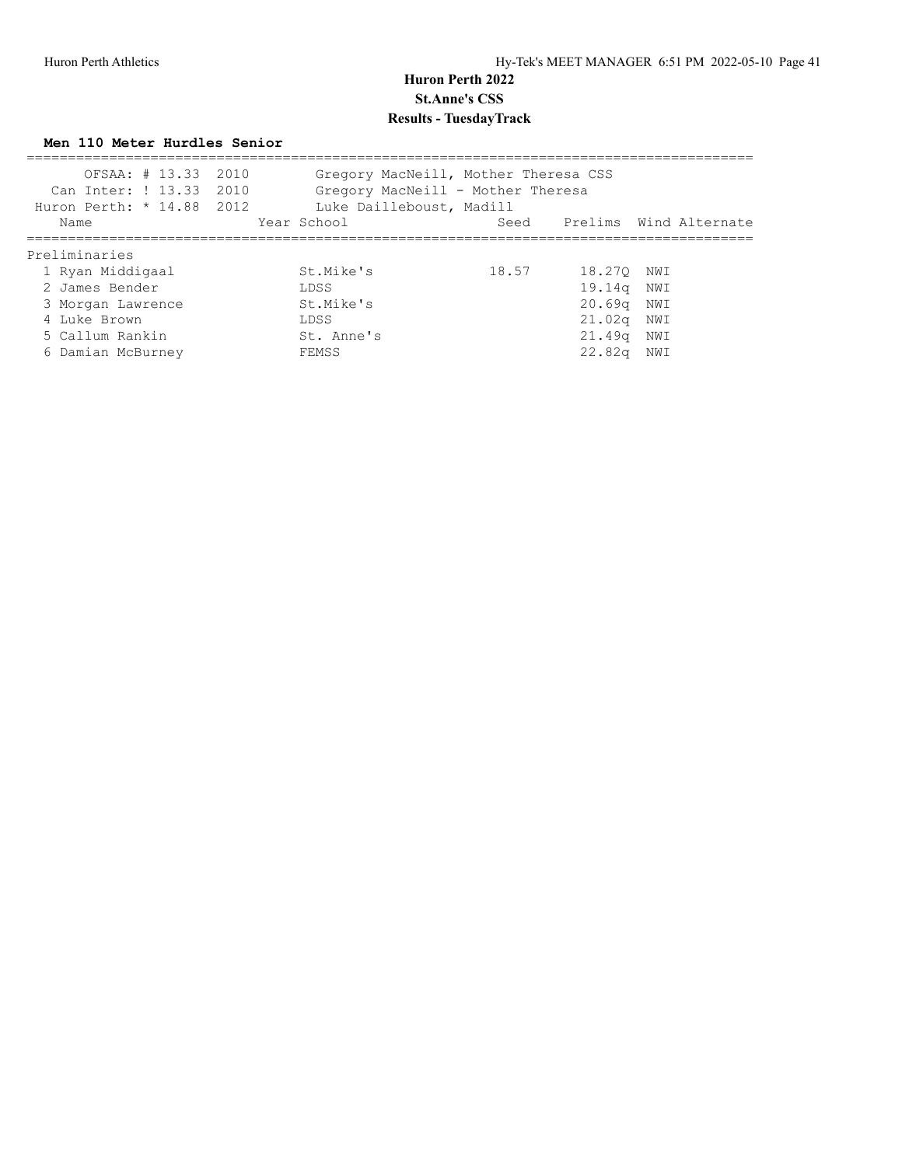#### **Men 110 Meter Hurdles Senior**

| Can Inter: ! 13.33 2010<br>Huron Perth: * 14.88 2012 | OFSAA: # 13.33 2010 |             |            | Luke Dailleboust, Madill | Gregory MacNeill, Mother Theresa CSS<br>Gregory MacNeill - Mother Theresa |                             |     |  |
|------------------------------------------------------|---------------------|-------------|------------|--------------------------|---------------------------------------------------------------------------|-----------------------------|-----|--|
| Name                                                 |                     | Year School |            |                          |                                                                           | Seed Prelims Wind Alternate |     |  |
| Preliminaries                                        |                     |             |            |                          |                                                                           |                             |     |  |
| 1 Ryan Middigaal                                     |                     |             | St.Mike's  |                          | 18.57                                                                     | 18.270                      | NWI |  |
| 2 James Bender                                       |                     |             | LDSS       |                          |                                                                           | 19.14a                      | NWI |  |
| 3 Morgan Lawrence                                    |                     |             | St.Mike's  |                          |                                                                           | 20.69 <sub>q</sub>          | NWI |  |
| 4 Luke Brown                                         |                     |             | LDSS       |                          |                                                                           | 21.02q NWI                  |     |  |
| 5 Callum Rankin                                      |                     |             | St. Anne's |                          |                                                                           | 21.49q                      | NWI |  |
| 6 Damian McBurney                                    |                     |             | FEMSS      |                          |                                                                           | 22.82 <sub>q</sub>          | NWI |  |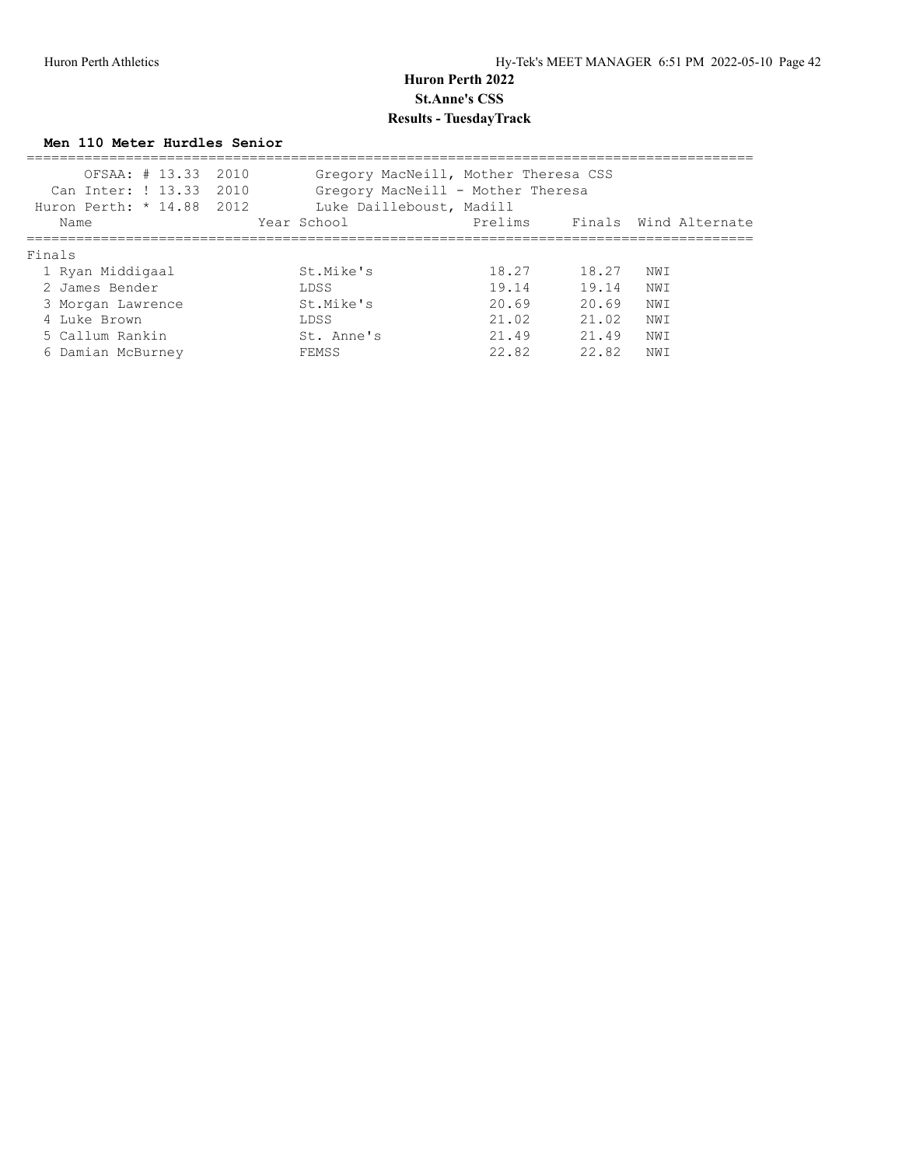#### **Men 110 Meter Hurdles Senior**

| OFSAA: # 13.33 2010<br>Can Inter: ! 13.33<br>Huron Perth: * 14.88 2012 | 2010        | Gregory MacNeill, Mother Theresa CSS<br>Gregory MacNeill - Mother Theresa<br>Luke Dailleboust, Madill |       |                       |
|------------------------------------------------------------------------|-------------|-------------------------------------------------------------------------------------------------------|-------|-----------------------|
| Name                                                                   | Year School | Prelims                                                                                               |       | Finals Wind Alternate |
| Finals                                                                 |             |                                                                                                       |       |                       |
| 1 Ryan Middigaal                                                       | St.Mike's   | 18.27                                                                                                 | 18.27 | NWI                   |
| 2 James Bender                                                         | LDSS        | 19.14                                                                                                 | 19.14 | NW T                  |
| 3 Morgan Lawrence                                                      | St.Mike's   | 20.69                                                                                                 | 20.69 | NWI                   |
| 4 Luke Brown                                                           | LDSS        | 21.02                                                                                                 | 21.02 | NWI                   |
| 5 Callum Rankin                                                        | St. Anne's  | 21.49                                                                                                 | 21.49 | NW I                  |
| 6 Damian McBurney                                                      | FEMSS       | 22.82                                                                                                 | 22.82 | NW I                  |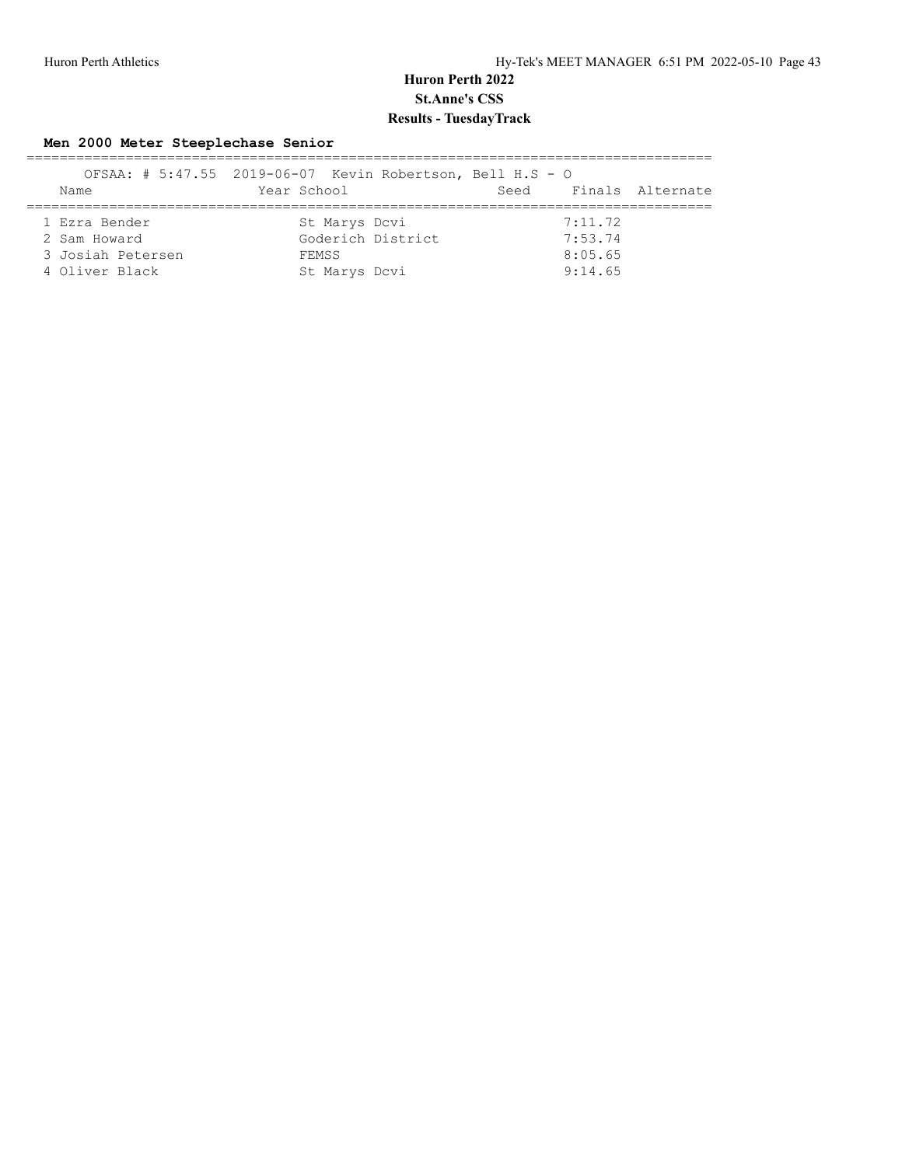#### **Men 2000 Meter Steeplechase Senior**

|                   | OFSAA: # 5:47.55 2019-06-07 Kevin Robertson, Bell H.S - O |                          |  |
|-------------------|-----------------------------------------------------------|--------------------------|--|
| Name              | Year School                                               | Finals Alternate<br>Seed |  |
|                   |                                                           |                          |  |
| 1 Ezra Bender     | St Marys Dcvi                                             | 7:11.72                  |  |
| 2 Sam Howard      | Goderich District                                         | 7:53.74                  |  |
| 3 Josiah Petersen | FEMSS                                                     | 8:05.65                  |  |
| 4 Oliver Black    | St Marys Dcvi                                             | 9:14.65                  |  |